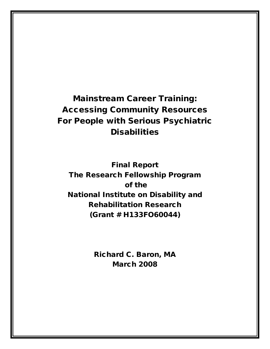Mainstream Career Training: Accessing Community Resources For People with Serious Psychiatric **Disabilities** 

Final Report The Research Fellowship Program of the National Institute on Disability and Rehabilitation Research (Grant # H133FO60044)

> Richard C. Baron, MA March 2008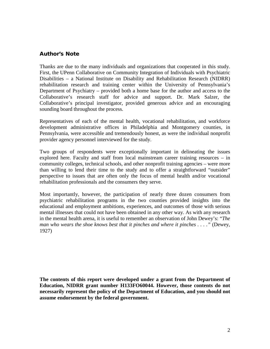#### Author's Note

Thanks are due to the many individuals and organizations that cooperated in this study. First, the UPenn Collaborative on Community Integration of Individuals with Psychiatric Disabilities – a National Institute on Disability and Rehabilitation Research (NIDRR) rehabilitation research and training center within the University of Pennsylvania's Department of Psychiatry – provided both a home base for the author and access to the Collaborative's research staff for advice and support. Dr. Mark Salzer, the Collaborative's principal investigator, provided generous advice and an encouraging sounding board throughout the process.

Representatives of each of the mental health, vocational rehabilitation, and workforce development administrative offices in Philadelphia and Montgomery counties, in Pennsylvania, were accessible and tremendously honest, as were the individual nonprofit provider agency personnel interviewed for the study.

Two groups of respondents were exceptionally important in delineating the issues explored here. Faculty and staff from local mainstream career training resources – in community colleges, technical schools, and other nonprofit training agencies – were more than willing to lend their time to the study and to offer a straightforward "outsider" perspective to issues that are often only the focus of mental health and/or vocational rehabilitation professionals and the consumers they serve.

Most importantly, however, the participation of nearly three dozen consumers from psychiatric rehabilitation programs in the two counties provided insights into the educational and employment ambitions, experiences, and outcomes of those with serious mental illnesses that could not have been obtained in any other way. As with any research in the mental health arena, it is useful to remember an observation of John Dewey's: "*The man who wears the shoe knows best that it pinches and where it pinches . . . ."* (Dewey, 1927)

**The contents of this report were developed under a grant from the Department of Education, NIDRR grant number H133FO60044. However, those contents do not necessarily represent the policy of the Department of Education, and you should not assume endorsement by the federal government.**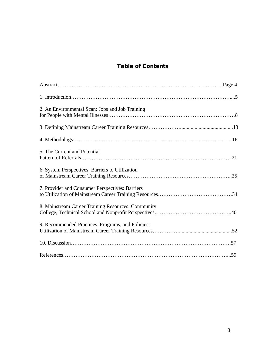### Table of Contents

| 2. An Environmental Scan: Jobs and Job Training    |  |
|----------------------------------------------------|--|
|                                                    |  |
|                                                    |  |
| 5. The Current and Potential                       |  |
| 6. System Perspectives: Barriers to Utilization    |  |
| 7. Provider and Consumer Perspectives: Barriers    |  |
| 8. Mainstream Career Training Resources: Community |  |
| 9. Recommended Practices, Programs, and Policies:  |  |
|                                                    |  |
|                                                    |  |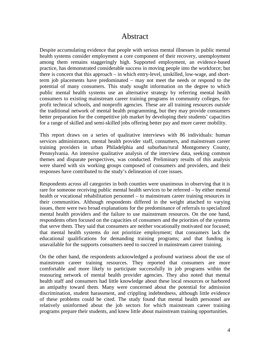### Abstract

Despite accumulating evidence that people with serious mental illnesses in public mental health systems consider employment a core component of their recovery, unemployment among them remains staggeringly high. Supported employment, an evidence-based practice, has demonstrated considerable success in moving people into the workforce; but there is concern that this approach – in which entry-level, unskilled, low-wage, and shortterm job placements have predominated – may not meet the needs or respond to the potential of many consumers. This study sought information on the degree to which public mental health systems use an alternative strategy by referring mental health consumers to existing mainstream career training programs in community colleges, forprofit technical schools, and nonprofit agencies. These are all training resources *outside* the traditional network of mental health programming, but they may provide consumers better preparation for the competitive job market by developing their students' capacities for a range of skilled and semi-skilled jobs offering better pay and more career mobility.

This report draws on a series of qualitative interviews with 86 individuals: human services administrators, mental health provider staff, consumers, and mainstream career training providers in urban Philadelphia and suburban/rural Montgomery County, Pennsylvania. An intensive qualitative analysis of the interview data, seeking common themes and disparate perspectives, was conducted. Preliminary results of this analysis were shared with six working groups composed of consumers and providers, and their responses have contributed to the study's delineation of core issues.

Respondents across all categories in both counties were unanimous in observing that it is rare for someone receiving public mental health services to be referred – by either mental health or vocational rehabilitation personnel – to mainstream career training resources in their communities. Although respondents differed in the weight attached to varying issues, there were two broad explanations for the predominance of referrals to specialized mental health providers and the failure to use mainstream resources. On the one hand, respondents often focused on the capacities of consumers and the priorities of the systems that serve them. They said that consumers are neither vocationally motivated nor focused; that mental health systems do not prioritize employment; that consumers lack the educational qualifications for demanding training programs; and that funding is unavailable for the supports consumers need to succeed in mainstream career training.

On the other hand, the respondents acknowledged a profound wariness about the use of mainstream career training resources. They reported that consumers are more comfortable and more likely to participate successfully in job programs within the reassuring network of mental health provider agencies. They also noted that mental health staff and consumers had little knowledge about these local resources or harbored an antipathy toward them. Many were concerned about the potential for admission discrimination, student harassment, and crippling indebtedness, although little evidence of these problems could be cited. The study found that mental health personnel are relatively uninformed about the job sectors for which mainstream career training programs prepare their students, and knew little about mainstream training opportunities.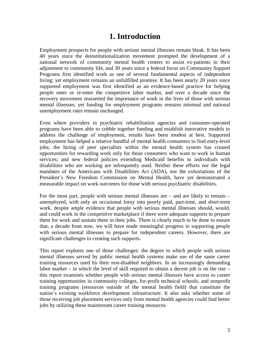## **1. Introduction**

Employment prospects for people with serious mental illnesses remain bleak. It has been 40 years since the deinstitutionalization movement prompted the development of a national network of community mental health centers to assist ex-patients in their adjustment to community life, and 30 years since a federal focus on Community Support Programs first identified work as one of several fundamental aspects of independent living; yet employment remains an unfulfilled promise. It has been nearly 20 years since supported employment was first identified as an evidence-based practice for helping people enter or re-enter the competitive labor market, and over a decade since the recovery movement reasserted the importance of work in the lives of those with serious mental illnesses; yet funding for employment programs remains minimal and national unemployment rates remain unchanged.

Even where providers in psychiatric rehabilitation agencies and consumer-operated programs have been able to cobble together funding and establish innovative models to address the challenge of employment, results have been modest at best. Supported employment has helped a relative handful of mental health consumers to find entry-level jobs; the hiring of peer specialists within the mental health system has created opportunities for rewarding work only for those consumers who want to work in human services; and new federal policies extending Medicaid benefits to individuals with disabilities who are working are infrequently used. Neither these efforts nor the legal mandates of the Americans with Disabilities Act (ADA), nor the exhortations of the President's New Freedom Commission on Mental Health, have yet demonstrated a measurable impact on work outcomes for those with serious psychiatric disabilities.

For the most part, people with serious mental illnesses are – and are likely to remain – unemployed, with only an occasional foray into poorly paid, part-time, and short-term work, despite ample evidence that people with serious mental illnesses should, would, and could work in the competitive marketplace if there were adequate supports to prepare them for work and sustain them in their jobs. There is clearly much to be done to ensure that, a decade from now, we will have made meaningful progress in supporting people with serious mental illnesses to prepare for independent careers. However, there are significant challenges to creating such supports.

This report explores one of those challenges: the degree to which people with serious mental illnesses served by public mental health systems make use of the same career training resources used by their non-disabled neighbors. In an increasingly demanding labor market – in which the level of skill required to obtain a decent job is on the rise – this report examines whether people with serious mental illnesses have access to career training opportunities in community colleges, for-profit technical schools, and nonprofit training programs (resources outside of the mental health field) that constitute the nation's existing workforce development infrastructure. It also asks whether some of those receiving job placement services only from mental health agencies could find better jobs by utilizing these mainstream career training resources.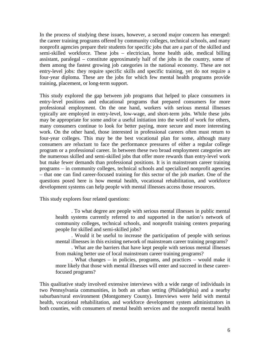In the process of studying these issues, however, a second major concern has emerged: the career training programs offered by community colleges, technical schools, and many nonprofit agencies prepare their students for specific jobs that are a part of the skilled and semi-skilled workforce. These jobs – electrician, home health aide, medical billing assistant, paralegal – constitute approximately half of the jobs in the country, some of them among the fastest growing job categories in the national economy. These are not entry-level jobs: they require specific skills and specific training, yet do not require a four-year diploma. These are the jobs for which few mental health programs provide training, placement, or long-term support.

This study explored the gap between job programs that helped to place consumers in entry-level positions and educational programs that prepared consumers for more professional employment. On the one hand, workers with serious mental illnesses typically are employed in entry-level, low-wage, and short-term jobs. While these jobs may be appropriate for some and/or a useful initiation into the world of work for others, many consumers continue to look for better paying, more secure and more interesting work. On the other hand, those interested in professional careers often must return to four-year colleges. This may be the best vocational plan for some, although many consumers are reluctant to face the performance pressures of either a regular college program or a professional career. In between these two broad employment categories are the numerous skilled and semi-skilled jobs that offer more rewards than entry-level work but make fewer demands than professional positions. It is in mainstream career training programs – in community colleges, technical schools and specialized nonprofit agencies – that one can find career-focused training for this sector of the job market. One of the questions posed here is how mental health, vocational rehabilitation, and workforce development systems can help people with mental illnesses access those resources.

This study explores four related questions:

. To what degree are people with serious mental illnesses in public mental health systems currently referred to and supported in the nation's network of community colleges, technical schools, and nonprofit training centers preparing people for skilled and semi-skilled jobs?

. Would it be useful to increase the participation of people with serious mental illnesses in this existing network of mainstream career training programs?

. What are the barriers that have kept people with serious mental illnesses from making better use of local mainstream career training programs?

. What changes – in policies, programs, and practices – would make it more likely that those with mental illnesses will enter and succeed in these careerfocused programs?

This qualitative study involved extensive interviews with a wide range of individuals in two Pennsylvania communities, in both an urban setting (Philadelphia) and a nearby suburban/rural environment (Montgomery County). Interviews were held with mental health, vocational rehabilitation, and workforce development system administrators in both counties, with consumers of mental health services and the nonprofit mental health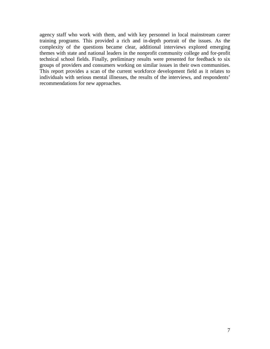agency staff who work with them, and with key personnel in local mainstream career training programs. This provided a rich and in-depth portrait of the issues. As the complexity of the questions became clear, additional interviews explored emerging themes with state and national leaders in the nonprofit community college and for-profit technical school fields. Finally, preliminary results were presented for feedback to six groups of providers and consumers working on similar issues in their own communities. This report provides a scan of the current workforce development field as it relates to individuals with serious mental illnesses, the results of the interviews, and respondents' recommendations for new approaches.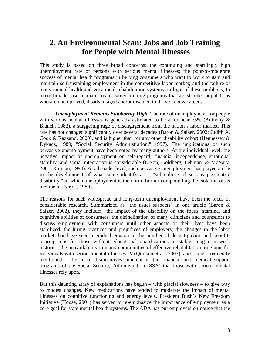## **2. An Environmental Scan: Jobs and Job Training for People with Mental Illnesses**

This study is based on three broad concerns: the continuing and startlingly high unemployment rate of persons with serious mental illnesses; the poor-to-moderate success of mental health programs in helping consumers who want to work to gain and maintain self-sustaining employment in the competitive labor market; and the failure of many mental health and vocational rehabilitation systems, in light of these problems, to make broader use of mainstream career training programs that assist other populations who are unemployed, disadvantaged and/or disabled to thrive in new careers.

*Unemployment Remains Stubbornly High.* The rate of unemployment for people with serious mental illnesses is generally estimated to be at or near 75% (Anthony & Blanch, 1982), a staggering rage of disengagement from the nation's labor market. This rate has not changed significantly over several decades (Baron & Salzer, 2002; Judith A. Cook & Razzano, 2000), and is higher than for any other disability cohort (Hennessey  $\&$ Dykacz, 1989; "Social Security Administration," 1997). The implications of such pervasive unemployment have been noted by many authors. At the individual level, the negative impact of unemployment on self-regard, financial independence, emotional stability, and social integration is considerable (Dixon, Goldberg, Lehman, & McNary, 2001; Rutman, 1994). At a broader level, such pervasive unemployment has played a role in the development of what some identify as a "sub-culture of serious psychiatric disability," in which unemployment is the norm, further compounding the isolation of its members (Estroff, 1989).

The reasons for such widespread and long-term unemployment have been the focus of considerable research. Summarized as "the usual suspects" in one article (Baron & Salzer, 2002), they include: the impact of the disability on the focus, stamina, and cognitive abilities of consumers; the disinclination of many clinicians and counselors to discuss employment with consumers until other aspects of their lives have been stabilized; the hiring practices and prejudices of employers; the changes in the labor market that have seen a gradual erosion in the number of decent-paying and benefitbearing jobs for those without educational qualifications or stable, long-term work histories; the unavailability in many communities of effective rehabilitation programs for individuals with serious mental illnesses (McQuilken et al., 2003); and – most frequently mentioned – the fiscal disincentives inherent in the financial and medical support programs of the Social Security Administration (SSA) that those with serious mental illnesses rely upon.

But this daunting array of explanations has begun  $-$  with glacial slowness  $-$  to give way to modest changes. New medications have tended to moderate the impact of mental illnesses on cognitive functioning and energy levels. President Bush's New Freedom Initiative (House, 2001) has served to re-emphasize the importance of employment as a core goal for state mental health systems. The ADA has put employers on notice that the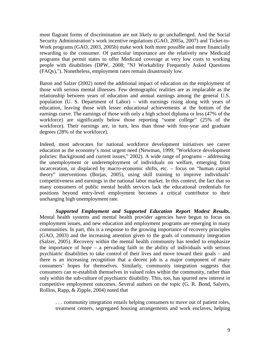most flagrant forms of discrimination are not likely to go unchallenged. And the Social Security Administration's work incentive regulations (GAO, 2005a, 2007) and Ticket-to-Work programs (GAO, 2003, 2005b) make work both more possible and more financially rewarding to the consumer. Of particular importance are the relatively new Medicaid programs that permit states to offer Medicaid coverage at very low costs to working people with disabilities (DPW, 2008; "NJ Workability Frequently Asked Questions (FAQs),"). Nonetheless, employment rates remain disastrously low.

Baron and Salzer (2002) noted the additional impact of education on the employment of those with serious mental illnesses. Few demographic realities are as implacable as the relationship between years of education and annual earnings among the general U.S. population (U. S. Department of Labor) – with earnings rising along with years of education, leaving those with lesser educational achievements at the bottom of the earnings curve. The earnings of those with only a high school diploma or less (47% of the workforce) are significantly below those reporting "some college" (25% of the workforce). Their earnings are, in turn, less than those with four-year and graduate degrees (28% of the workforce).

Indeed, most advocates for national workforce development initiatives see career education as the economy's most urgent need (Newman, 1999; "Workforce development policies: Background and current issues," 2002). A wide range of programs – addressing the unemployment or underemployment of individuals on welfare, emerging from incarceration, or displaced by macro-economic shifts, etc. – focus on "human capital theory" interventions (Borjas, 2005), using skill training to improve individuals' competitiveness and earnings in the national labor market. In this context, the fact that so many consumers of public mental health services lack the educational credentials for positions beyond entry-level employment becomes a critical contributor to their unchanging high unemployment rate.

*Supported Employment and Supported Education Report Modest Results.* Mental health systems and mental health provider agencies have begun to focus on employment issues, and new education and employment programs are emerging in many communities. In part, this is a response to the growing importance of recovery principles (GAO, 2003) and the increasing attention given to the goals of community integration (Salzer, 2005). Recovery within the mental health community has tended to emphasize the importance of hope – a pervading faith in the ability of individuals with serious psychiatric disabilities to take control of their lives and move toward their goals – and there is an increasing recognition that a decent job is a major component of many consumers' hopes for themselves. Similarly, community integration suggests that consumers can re-establish themselves in valued roles within the community, rather than only within the sub-culture of psychiatric disability. This, too, has spurred new interest in competitive employment outcomes. Several authors on the topic (G. R. Bond, Salyers, Rollins, Rapp, & Zipple, 2004) noted that

. . . community integration entails helping consumers to move out of patient roles, treatment centers, segregated housing arrangements and work enclaves, helping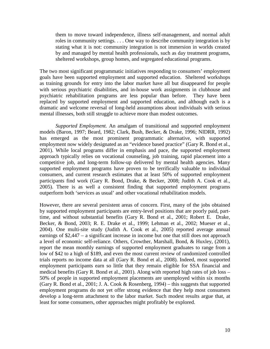them to move toward independence, illness self-management, and normal adult roles in community settings. . . . One way to describe community integration is by stating what it is not: community integration is not immersion in worlds created by and managed by mental health professionals, such as day treatment programs, sheltered workshops, group homes, and segregated educational programs.

The two most significant programmatic initiatives responding to consumers' employment goals have been supported employment and supported education. Sheltered workshops as training grounds for entry into the labor market have all but disappeared for people with serious psychiatric disabilities, and in-house work assignments in clubhouse and psychiatric rehabilitation programs are less popular than before. They have been replaced by supported employment and supported education, and although each is a dramatic and welcome reversal of long-held assumptions about individuals with serious mental illnesses, both still struggle to achieve more than modest outcomes.

*Supported Employment.* An amalgam of transitional and supported employment models (Baron, 1997; Beard, 1982; Clark, Bush, Becker, & Drake, 1996; NIDRR, 1992) has emerged as the most prominent programmatic alternative, with supported employment now widely designated as an "evidence based practice" (Gary R. Bond et al., 2001). While local programs differ in emphasis and pace, the supported employment approach typically relies on vocational counseling, job training, rapid placement into a competitive job, and long-term follow-up delivered by mental health agencies. Many supported employment programs have proven to be terrifically valuable to individual consumers, and current research estimates that at least 50% of supported employment participants find work (Gary R. Bond, Drake, & Becker, 2008; Judith A. Cook et al., 2005). There is as well a consistent finding that supported employment programs outperform both 'services as usual' and other vocational rehabilitation models.

However, there are several persistent areas of concern. First, many of the jobs obtained by supported employment participants are entry-level positions that are poorly paid, parttime, and without substantial benefits (Gary R. Bond et al., 2001; Robert E. Drake, Becker, & Bond, 2003; R. E. Drake et al., 1999; Lehman et al., 2002; Mueser et al., 2004). One multi-site study (Judith A. Cook et al., 2005) reported average annual earnings of \$2,447 – a significant increase in income but one that still does not approach a level of economic self-reliance. Others, Crowther, Marshall, Bond, & Huxley, (2001), report the mean monthly earnings of supported employment graduates to range from a low of \$42 to a high of \$189, and even the most current review of randomized controlled trials reports no income data at all (Gary R. Bond et al., 2008). Indeed, most supported employment participants earn so little that they remain eligible for SSA financial and medical benefits (Gary R. Bond et al., 2001). Along with reported high rates of job loss – 50% of people in supported employment placements are unemployed within six months (Gary R. Bond et al., 2001; J. A. Cook & Rosenberg, 1994) – this suggests that supported employment programs do not yet offer strong evidence that they help most consumers develop a long-term attachment to the labor market. Such modest results argue that, at least for some consumers, other approaches might profitably be explored.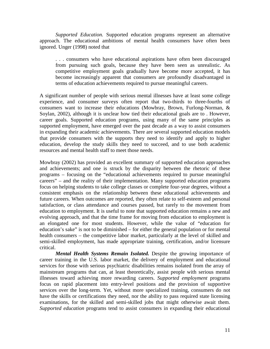*Supported Education.* Supported education programs represent an alternative approach. The educational ambitions of mental health consumers have often been ignored. Unger (1998) noted that

. . . consumers who have educational aspirations have often been discouraged from pursuing such goals, because they have been seen as unrealistic. As competitive employment goals gradually have become more accepted, it has become increasingly apparent that consumers are profoundly disadvantaged in terms of education achievements required to pursue meaningful careers.

A significant number of people with serious mental illnesses have at least some college experience, and consumer surveys often report that two-thirds to three-fourths of consumers want to increase their educations (Mowbray, Brown, Furlong-Norman, & Soylan, 2002), although it is unclear how tied their educational goals are to . However, career goals. Supported education programs, using many of the same principles as supported employment, have emerged over the past decade as a way to assist consumers in expanding their academic achievements. There are several supported education models that provide consumers with the supports they need to identify and apply to higher education, develop the study skills they need to succeed, and to use both academic resources and mental health staff to meet those needs.

Mowbray (2002) has provided an excellent summary of supported education approaches and achievements; and one is struck by the disparity between the rhetoric of these programs – focusing on the "educational achievements required to pursue meaningful careers" – and the reality of their implementation. Many supported education programs focus on helping students to take college classes or complete four-year degrees, without a consistent emphasis on the relationship between these educational achievements and future careers. When outcomes are reported, they often relate to self-esteem and personal satisfaction, or class attendance and courses passed, but rarely to the movement from education to employment. It is useful to note that supported education remains a new and evolving approach, and that the time frame for moving from education to employment is an elongated one for most students. However, while the value of "education for education's sake" is not to be diminished – for either the general population or for mental health consumers – the competitive labor market, particularly at the level of skilled and semi-skilled employment, has made appropriate training, certification, and/or licensure critical.

*Mental Health Systems Remain Isolated.* Despite the growing importance of career training in the U.S. labor market, the delivery of employment and educational services for those with serious psychiatric disabilities remains isolated from the array of mainstream programs that can, at least theoretically, assist people with serious mental illnesses toward achieving more rewarding careers. *Supported employment* programs focus on rapid placement into entry-level positions and the provision of supportive services over the long-term. Yet, without more specialized training, consumers do not have the skills or certifications they need, nor the ability to pass required state licensing examinations, for the skilled and semi-skilled jobs that might otherwise await them. *Supported education* programs tend to assist consumers in expanding their educational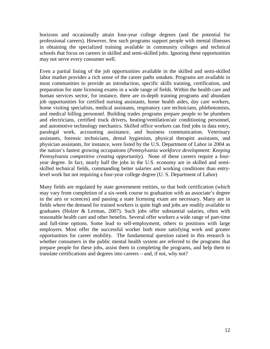horizons and occasionally attain four-year college degrees (and the potential for professional careers). However, few such programs support people with mental illnesses in obtaining the specialized training available in community colleges and technical schools that focus on careers in skilled and semi-skilled jobs. Ignoring these opportunities may not serve every consumer well.

Even a partial listing of the job opportunities available in the skilled and semi-skilled labor market provides a rich sense of the career paths untaken. Programs are available in most communities to provide an introduction, specific skills training, certification, and preparation for state licensing exams in a wide range of fields. Within the health care and human services sector, for instance, there are in-depth training programs and abundant job opportunities for certified nursing assistants, home health aides, day care workers, home visiting specialists, medical assistants, respiratory care technicians, phlebotomists, and medical billing personnel. Building trades programs prepare people to be plumbers and electricians, certified truck drivers, heating/ventilation/air conditioning personnel, and automotive technology mechanics. Skilled office workers can find jobs in data entry, paralegal work, accounting assistance, and business communication. Veterinary assistants, forensic technicians, dental hygienists, physical therapist assistants, and physician assistants, for instance, were listed by the U.S. Department of Labor in 2004 as the nation's fastest growing occupations (*Pennsylvania workforce development: Keeping Pennsylvania competitive creating opportunity*). None of these careers require a fouryear degree. In fact, nearly half the jobs in the U.S. economy are in skilled and semiskilled technical fields, commanding better salaries and working conditions than entrylevel work but not requiring a four-year college degree (U. S. Department of Labor)

Many fields are regulated by state government entities, so that both certification (which may vary from completion of a six-week course to graduation with an associate's degree in the arts or sciences) and passing a state licensing exam are necessary. Many are in fields where the demand for trained workers is quite high and jobs are readily available to graduates (Holzer & Lerman, 2007). Such jobs offer substantial salaries, often with reasonable health care and other benefits. Several offer workers a wide range of part-time and full-time options. Some lead to self-employment, others to positions with large employers. Most offer the successful worker both more satisfying work and greater opportunities for career mobility. The fundamental question raised in this research is whether consumers in the public mental health system are referred to the programs that prepare people for these jobs, assist them in completing the programs, and help them to translate certifications and degrees into careers – and, if not, why not?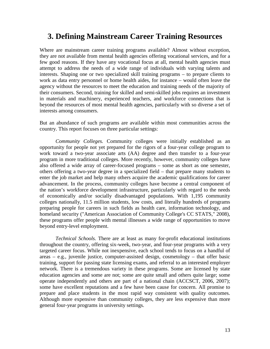### **3. Defining Mainstream Career Training Resources**

Where are mainstream career training programs available? Almost without exception, they are not available from mental health agencies offering vocational services, and for a few good reasons. If they have any vocational focus at all, mental health agencies must attempt to address the needs of a wide range of individuals with varying talents and interests. Shaping one or two specialized skill training programs – to prepare clients to work as data entry personnel or home health aides, for instance – would often leave the agency without the resources to meet the education and training needs of the majority of their consumers. Second, training for skilled and semi-skilled jobs requires an investment in materials and machinery, experienced teachers, and workforce connections that is beyond the resources of most mental health agencies, particularly with so diverse a set of interests among consumers.

But an abundance of such programs are available within most communities across the country. This report focuses on three particular settings:

*Community Colleges.* Community colleges were initially established as an opportunity for people not yet prepared for the rigors of a four-year college program to work toward a two-year associate arts (AA) degree and then transfer to a four-year program in more traditional colleges. More recently, however, community colleges have also offered a wide array of career-focused programs – some as short as one semester, others offering a two-year degree in a specialized field – that prepare many students to enter the job market and help many others acquire the academic qualifications for career advancement. In the process, community colleges have become a central component of the nation's workforce development infrastructure, particularly with regard to the needs of economically and/or socially disadvantaged populations. With 1,195 community colleges nationally, 11.5 million students, low costs, and literally hundreds of programs preparing people for careers in such fields as health care, information technology, and homeland security ("American Association of Community College's CC STATS," 2008), these programs offer people with mental illnesses a wide range of opportunities to move beyond entry-level employment.

*Technical Schools.* There are at least as many for-profit educational institutions throughout the country, offering six-week, two-year, and four-year programs with a very targeted career focus. While not inexpensive, each school tends to focus on a handful of areas  $-$  e.g., juvenile justice, computer-assisted design, cosmetology  $-$  that offer basic training, support for passing state licensing exams, and referral to an interested employer network. There is a tremendous variety in these programs. Some are licensed by state education agencies and some are not; some are quite small and others quite large; some operate independently and others are part of a national chain (ACCSCT, 2006, 2007); some have excellent reputations and a few have been cause for concern. All promise to prepare and place students in the most rapid way consistent with quality outcomes. Although more expensive than community colleges, they are less expensive than more general four-year programs in university settings.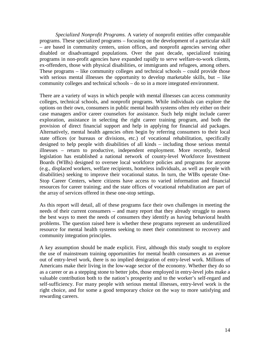*Specialized Nonprofit Programs.* A variety of nonprofit entities offer comparable programs. These specialized programs – focusing on the development of a particular skill – are based in community centers, union offices, and nonprofit agencies serving other disabled or disadvantaged populations. Over the past decade, specialized training programs in non-profit agencies have expanded rapidly to serve welfare-to-work clients, ex-offenders, those with physical disabilities, or immigrants and refugees, among others. These programs – like community colleges and technical schools – could provide those with serious mental illnesses the opportunity to develop marketable skills, but – like community colleges and technical schools – do so in a more integrated environment.

There are a variety of ways in which people with mental illnesses can access community colleges, technical schools, and nonprofit programs. While individuals can explore the options on their own, consumers in public mental health systems often rely either on their case managers and/or career counselors for assistance. Such help might include career exploration, assistance in selecting the right career training program, and both the provision of direct financial support and help in applying for financial aid packages. Alternatively, mental health agencies often begin by referring consumers to their local state offices (or bureaus or divisions, etc.) of vocational rehabilitation, specifically designed to help people with disabilities of all kinds – including those serious mental illnesses – return to productive, independent employment. More recently, federal legislation has established a national network of county-level Workforce Investment Boards (WIBs) designed to oversee local workforce policies and programs for anyone (e.g., displaced workers, welfare recipients, homeless individuals, as well as people with disabilities) seeking to improve their vocational status. In turn, the WIBs operate One-Stop Career Centers, where citizens have access to varied information and financial resources for career training; and the state offices of vocational rehabilitation are part of the array of services offered in these one-stop settings.

As this report will detail, all of these programs face their own challenges in meeting the needs of their current consumers – and many report that they already struggle to assess the best ways to meet the needs of consumers they identify as having behavioral health problems. The question raised here is whether these programs represent an underutilized resource for mental health systems seeking to meet their commitment to recovery and community integration principles.

A key assumption should be made explicit. First, although this study sought to explore the use of mainstream training opportunities for mental health consumers as an avenue out of entry-level work, there is no implied denigration of entry-level work. Millions of Americans make their living in the low-wage sector of the economy. Whether they do so as a career or as a stepping stone to better jobs, those employed in entry-level jobs make a valuable contribution both to the nation's prosperity and to the worker's self-regard and self-sufficiency. For many people with serious mental illnesses, entry-level work is the right choice, and for some a good temporary choice on the way to more satisfying and rewarding careers.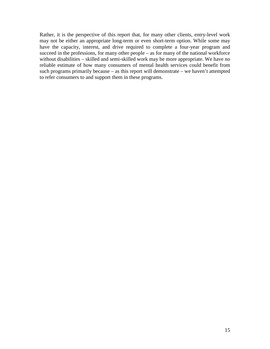Rather, it is the perspective of this report that, for many other clients, entry-level work may not be either an appropriate long-term or even short-term option. While some may have the capacity, interest, and drive required to complete a four-year program and succeed in the professions, for many other people – as for many of the national workforce without disabilities – skilled and semi-skilled work may be more appropriate. We have no reliable estimate of how many consumers of mental health services could benefit from such programs primarily because – as this report will demonstrate – we haven't attempted to refer consumers to and support them in these programs.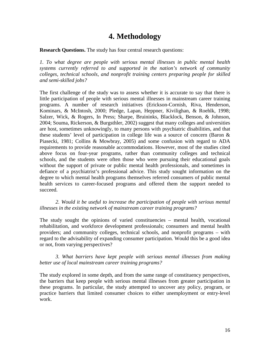### **4. Methodology**

**Research Questions.** The study has four central research questions:

*1. To what degree are people with serious mental illnesses in public mental health systems currently referred to and supported in the nation's network of community colleges, technical schools, and nonprofit training centers preparing people for skilled and semi-skilled jobs?* 

The first challenge of the study was to assess whether it is accurate to say that there is little participation of people with serious mental illnesses in mainstream career training programs. A number of research initiatives (Erickson-Cornish, Riva, Henderson, Kominars, & McIntosh, 2000; Pledge, Lapan, Heppner, Kivilighan, & Roehlk, 1998; Salzer, Wick, & Rogers, In Press; Sharpe, Bruininks, Blacklock, Benson, & Johnson, 2004; Souma, Rickerson, & Burgsthler, 2002) suggest that many colleges and universities are host, sometimes unknowingly, to many persons with psychiatric disabilities, and that these students' level of participation in college life was a source of concern (Baron & Piasecki, 1981; Collins & Mowbray, 2005) and some confusion with regard to ADA requirements to provide reasonable accommodations. However, most of the studies cited above focus on four-year programs, rather than community colleges and technical schools, and the students were often those who were pursuing their educational goals without the support of private or public mental health professionals, and sometimes in defiance of a psychiatrist's professional advice. This study sought information on the degree to which mental health programs themselves referred consumers of public mental health services to career-focused programs and offered them the support needed to succeed.

*2. Would it be useful to increase the participation of people with serious mental illnesses in the existing network of mainstream career training programs?* 

The study sought the opinions of varied constituencies – mental health, vocational rehabilitation, and workforce development professionals; consumers and mental health providers; and community colleges, technical schools, and nonprofit programs – with regard to the advisability of expanding consumer participation. Would this be a good idea or not, from varying perspectives?

*3. What barriers have kept people with serious mental illnesses from making better use of local mainstream career training programs?* 

The study explored in some depth, and from the same range of constituency perspectives, the barriers that keep people with serious mental illnesses from greater participation in these programs. In particular, the study attempted to uncover any policy, program, or practice barriers that limited consumer choices to either unemployment or entry-level work.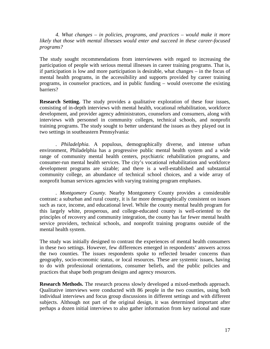*4. What changes – in policies, programs, and practices – would make it more likely that those with mental illnesses would enter and succeed in these career-focused programs?* 

The study sought recommendations from interviewees with regard to increasing the participation of people with serious mental illnesses in career training programs. That is, if participation is low and more participation is desirable, what changes – in the focus of mental health programs, in the accessibility and supports provided by career training programs, in counselor practices, and in public funding – would overcome the existing barriers?

**Research Setting.** The study provides a qualitative exploration of these four issues, consisting of in-depth interviews with mental health, vocational rehabilitation, workforce development, and provider agency administrators, counselors and consumers, along with interviews with personnel in community colleges, technical schools, and nonprofit training programs. The study sought to better understand the issues as they played out in two settings in southeastern Pennsylvania:

. *Philadelphia.* A populous, demographically diverse, and intense urban environment, Philadelphia has a progressive public mental health system and a wide range of community mental health centers, psychiatric rehabilitation programs, and consumer-run mental health services. The city's vocational rehabilitation and workforce development programs are sizable; and there is a well-established and substantial community college, an abundance of technical school choices, and a wide array of nonprofit human services agencies with varying training program emphases.

. *Montgomery County.* Nearby Montgomery County provides a considerable contrast: a suburban and rural county, it is far more demographically consistent on issues such as race, income, and educational level. While the county mental health program for this largely white, prosperous, and college-educated county is well-oriented to the principles of recovery and community integration, the county has far fewer mental health service providers, technical schools, and nonprofit training programs outside of the mental health system.

The study was initially designed to contrast the experiences of mental health consumers in these two settings. However, few differences emerged in respondents' answers across the two counties. The issues respondents spoke to reflected broader concerns than geography, socio-economic status, or local resources. These are systemic issues, having to do with professional orientations, consumer beliefs, and the public policies and practices that shape both program designs and agency resources.

**Research Methods.** The research process slowly developed a mixed-methods approach. Qualitative interviews were conducted with 86 people in the two counties, using both individual interviews and focus group discussions in different settings and with different subjects. Although not part of the original design, it was determined important after perhaps a dozen initial interviews to also gather information from key national and state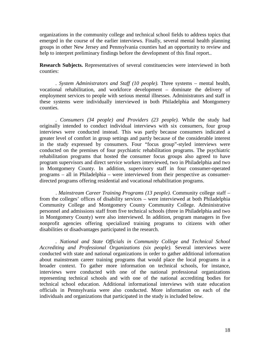organizations in the community college and technical school fields to address topics that emerged in the course of the earlier interviews. Finally, several mental health planning groups in other New Jersey and Pennsylvania counties had an opportunity to review and help to interpret preliminary findings before the development of this final report..

**Research Subjects.** Representatives of several constituencies were interviewed in both counties:

*. System Administrators and Staff (10 people).* Three systems – mental health, vocational rehabilitation, and workforce development – dominate the delivery of employment services to people with serious mental illnesses. Administrators and staff in these systems were individually interviewed in both Philadelphia and Montgomery counties.

*. Consumers (34 people) and Providers (23 people).* While the study had originally intended to conduct individual interviews with six consumers, four group interviews were conducted instead. This was partly because consumers indicated a greater level of comfort in group settings and partly because of the considerable interest in the study expressed by consumers. Four "focus group"-styled interviews were conducted on the premises of four psychiatric rehabilitation programs. The psychiatric rehabilitation programs that hosted the consumer focus groups also agreed to have program supervisors and direct service workers interviewed, two in Philadelphia and two in Montgomery County. In addition, supervisory staff in four consumer-operated programs – all in Philadelphia – were interviewed from their perspective as consumerdirected programs offering residential and vocational rehabilitation programs.

. *Mainstream Career Training Programs (13 people).* Community college staff – from the colleges' offices of disability services – were interviewed at both Philadelphia Community College and Montgomery County Community College. Administrative personnel and admissions staff from five technical schools (three in Philadelphia and two in Montgomery County) were also interviewed. In addition, program managers in five nonprofit agencies offering specialized training programs to citizens with other disabilities or disadvantages participated in the research.

*. National and State Officials in Community College and Technical School Accrediting and Professional Organizations (six people).* Several interviews were conducted with state and national organizations in order to gather additional information about mainstream career training programs that would place the local programs in a broader context. To gather more information on technical schools, for instance, interviews were conducted with one of the national professional organizations representing technical schools and with one of the national accrediting bodies for technical school education. Additional informational interviews with state education officials in Pennsylvania were also conducted. More information on each of the individuals and organizations that participated in the study is included below.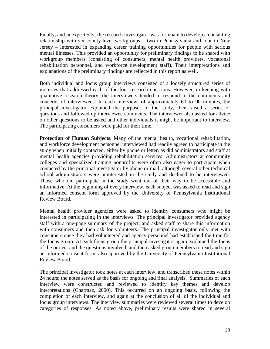Finally, and unexpectedly, the research investigator was fortunate to develop a consulting relationship with six county-level workgroups – two in Pennsylvania and four in New Jersey – interested in expanding career training opportunities for people with serious mental illnesses. This provided an opportunity for preliminary findings to be shared with workgroup members (consisting of consumers, mental health providers, vocational rehabilitation personnel, and workforce development staff). Their interpretations and explanations of the preliminary findings are reflected in this report as well.

Both individual and focus group interviews consisted of a loosely structured series of inquiries that addressed each of the four research questions. However, in keeping with qualitative research theory, the interviewers tended to respond to the comments and concerns of interviewees. In each interview, of approximately 60 to 90 minutes, the principal investigator explained the purposes of the study, then raised a series of questions and followed up interviewee comments. The interviewer also asked for advice on other questions to be asked and other individuals it might be important to interview. The participating consumers were paid for their time.

**Protection of Human Subjects.** Many of the mental health, vocational rehabilitation, and workforce development personnel interviewed had readily agreed to participate in the study when initially contacted, either by phone or letter, as did administrators and staff at mental health agencies providing rehabilitation services. Administrators at community colleges and specialized training nonprofits were often also eager to participate when contacted by the principal investigator by phone or mail, although several other technical school administrators were uninterested in the study and declined to be interviewed. Those who did participate in the study went out of their way to be accessible and informative. At the beginning of every interview, each subject was asked to read and sign an informed consent form approved by the University of Pennsylvania Institutional Review Board.

Mental health provider agencies were asked to identify consumers who might be interested in participating in the interviews. The principal investigator provided agency staff with a one-page summary of the project, and asked staff to share this information with consumers and then ask for volunteers. The principal investigator only met with consumers once they had volunteered and agency personnel had established the time for the focus group. At each focus group the principal investigator again explained the focus of the project and the questions involved, and then asked group members to read and sign an informed consent form, also approved by the University of Pennsylvania Institutional Review Board.

The principal investigator took notes at each interview, and transcribed these notes within 24 hours; the notes served as the basis for ongoing and final analysis. Summaries of each interview were constructed and reviewed to identify key themes and develop interpretations (Charmaz, 2000). This occurred on an ongoing basis, following the completion of each interview, and again at the conclusion of all of the individual and focus group interviews. The interview summaries were reviewed several times to develop categories of responses. As noted above, preliminary results were shared in several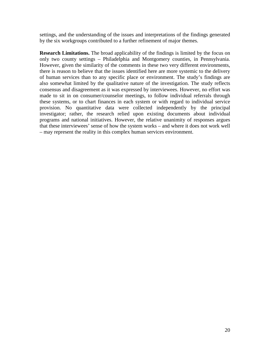settings, and the understanding of the issues and interpretations of the findings generated by the six workgroups contributed to a further refinement of major themes.

**Research Limitations.** The broad applicability of the findings is limited by the focus on only two county settings – Philadelphia and Montgomery counties, in Pennsylvania. However, given the similarity of the comments in these two very different environments, there is reason to believe that the issues identified here are more systemic to the delivery of human services than to any specific place or environment. The study's findings are also somewhat limited by the qualitative nature of the investigation. The study reflects consensus and disagreement as it was expressed by interviewees. However, no effort was made to sit in on consumer/counselor meetings, to follow individual referrals through these systems, or to chart finances in each system or with regard to individual service provision. No quantitative data were collected independently by the principal investigator; rather, the research relied upon existing documents about individual programs and national initiatives. However, the relative unanimity of responses argues that these interviewees' sense of how the system works – and where it does not work well – may represent the reality in this complex human services environment.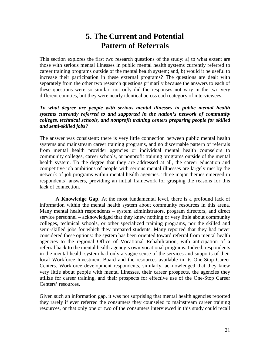# **5. The Current and Potential Pattern of Referrals**

This section explores the first two research questions of the study: a) to what extent are those with serious mental illnesses in public mental health systems currently referred to career training programs outside of the mental health system; and, b) would it be useful to increase their participation in these external programs? The questions are dealt with separately from the other two research questions primarily because the answers to each of these questions were so similar: not only did the responses not vary in the two very different counties, but they were nearly identical across each category of interviewees.

#### *To what degree are people with serious mental illnesses in public mental health systems currently referred to and supported in the nation's network of community colleges, technical schools, and nonprofit training centers preparing people for skilled and semi-skilled jobs?*

The answer was consistent: there is very little connection between public mental health systems and mainstream career training programs, and no discernable pattern of referrals from mental health provider agencies or individual mental health counselors to community colleges, career schools, or nonprofit training programs outside of the mental health system. To the degree that they are addressed at all, the career education and competitive job ambitions of people with serious mental illnesses are largely met by the network of job programs within mental health agencies. Three major themes emerged in respondents' answers, providing an initial framework for grasping the reasons for this lack of connection.

**A Knowledge Gap**. At the most fundamental level, there is a profound lack of information within the mental health system about community resources in this arena. Many mental health respondents – system administrators, program directors, and direct service personnel – acknowledged that they knew nothing or very little about community colleges, technical schools, or other specialized training programs, nor the skilled and semi-skilled jobs for which they prepared students. Many reported that they had never considered these options: the system has been oriented toward referral from mental health agencies to the regional Office of Vocational Rehabilitation, with anticipation of a referral back to the mental health agency's own vocational programs. Indeed, respondents in the mental health system had only a vague sense of the services and supports of their local Workforce Investment Board and the resources available in its One-Stop Career Centers. Workforce development respondents, similarly, acknowledged that they knew very little about people with mental illnesses, their career prospects, the agencies they utilize for career training, and their prospects for effective use of the One-Stop Career Centers' resources.

Given such an information gap, it was not surprising that mental health agencies reported they rarely if ever referred the consumers they counseled to mainstream career training resources, or that only one or two of the consumers interviewed in this study could recall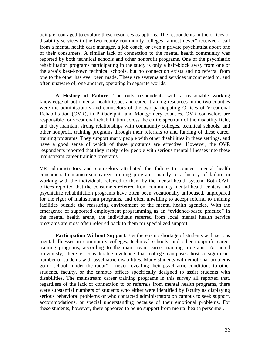being encouraged to explore these resources as options. The respondents in the offices of disability services in the two county community colleges "almost never" received a call from a mental health case manager, a job coach, or even a private psychiatrist about one of their consumers. A similar lack of connection to the mental health community was reported by both technical schools and other nonprofit programs. One of the psychiatric rehabilitation programs participating in the study is only a half-block away from one of the area's best-known technical schools, but no connection exists and no referral from one to the other has ever been made. These are systems and services unconnected to, and often unaware of, one another, operating in separate worlds.

**A History of Failure.** The only respondents with a reasonable working knowledge of both mental health issues and career training resources in the two counties were the administrators and counselors of the two participating Offices of Vocational Rehabilitation (OVR), in Philadelphia and Montgomery counties. OVR counselors are responsible for vocational rehabilitation across the entire spectrum of the disability field, and they maintain strong relationships with community colleges, technical schools, and other nonprofit training programs through their referrals to and funding of these career training programs. They support many people with other disabilities in these settings, and have a good sense of which of these programs are effective. However, the OVR respondents reported that they rarely refer people with serious mental illnesses into these mainstream career training programs.

VR administrators and counselors attributed the failure to connect mental health consumers to mainstream career training programs mainly to a history of failure in working with the individuals referred to them by the mental health system. Both OVR offices reported that the consumers referred from community mental health centers and psychiatric rehabilitation programs have often been vocationally unfocused, unprepared for the rigor of mainstream programs, and often unwilling to accept referral to training facilities outside the reassuring environment of the mental health agencies. With the emergence of supported employment programming as an "evidence-based practice" in the mental health arena, the individuals referred from local mental health service programs are most often referred back to them for specialized support.

**Participation Without Support.** Yet there is no shortage of students with serious mental illnesses in community colleges, technical schools, and other nonprofit career training programs, according to the mainstream career training programs. As noted previously, there is considerable evidence that college campuses host a significant number of students with psychiatric disabilities. Many students with emotional problems go to school "under the radar" – never revealing their psychiatric conditions to other students, faculty, or the campus offices specifically designed to assist students with disabilities. The mainstream career training programs in this survey all reported that, regardless of the lack of connection to or referrals from mental health programs, there were substantial numbers of students who either were identified by faculty as displaying serious behavioral problems or who contacted administrators on campus to seek support, accommodations, or special understanding because of their emotional problems. For these students, however, there appeared to be no support from mental health personnel.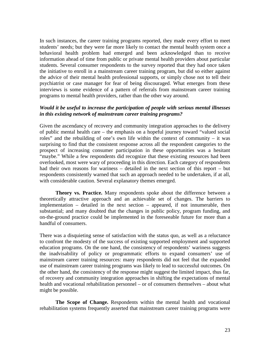In such instances, the career training programs reported, they made every effort to meet students' needs; but they were far more likely to contact the mental health system once a behavioral health problem had emerged and been acknowledged than to receive information ahead of time from public or private mental health providers about particular students. Several consumer respondents to the survey reported that they had once taken the initiative to enroll in a mainstream career training program, but did so either against the advice of their mental health professional supports, or simply chose not to tell their psychiatrist or case manager for fear of being discouraged. What emerges from these interviews is some evidence of a pattern of referrals from mainstream career training programs to mental health providers, rather than the other way around.

#### *Would it be useful to increase the participation of people with serious mental illnesses in this existing network of mainstream career training programs?*

Given the ascendancy of recovery and community integration approaches to the delivery of public mental health care – the emphasis on a hopeful journey toward "valued social roles" and the rebuilding of one's own life within the context of community – it was surprising to find that the consistent response across all the respondent categories to the prospect of increasing consumer participation in these opportunities was a hesitant "maybe." While a few respondents did recognize that these existing resources had been overlooked, most were wary of proceeding in this direction. Each category of respondents had their own reasons for wariness – detailed in the next section of this report – but respondents consistently warned that such an approach needed to be undertaken, if at all, with considerable caution. Several explanatory themes emerged.

**Theory vs. Practice.** Many respondents spoke about the difference between a theoretically attractive approach and an achievable set of changes. The barriers to implementation – detailed in the next section – appeared, if not innumerable, then substantial; and many doubted that the changes in public policy, program funding, and on-the-ground practice could be implemented in the foreseeable future for more than a handful of consumers.

There was a disquieting sense of satisfaction with the status quo, as well as a reluctance to confront the modesty of the success of existing supported employment and supported education programs. On the one hand, the consistency of respondents' wariness suggests the inadvisability of policy or programmatic efforts to expand consumers' use of mainstream career training resources: many respondents did not feel that the expanded use of mainstream career training programs was likely to lead to successful outcomes. On the other hand, the consistency of the response might suggest the limited impact, thus far, of recovery and community integration approaches in shifting the expectations of mental health and vocational rehabilitation personnel – or of consumers themselves – about what might be possible.

**The Scope of Change.** Respondents within the mental health and vocational rehabilitation systems frequently asserted that mainstream career training programs were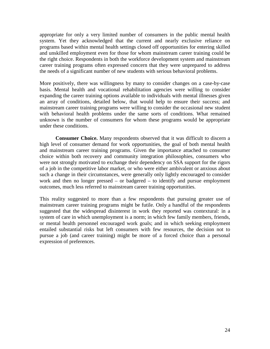appropriate for only a very limited number of consumers in the public mental health system. Yet they acknowledged that the current and nearly exclusive reliance on programs based within mental health settings closed off opportunities for entering skilled and unskilled employment even for those for whom mainstream career training could be the right choice. Respondents in both the workforce development system and mainstream career training programs often expressed concern that they were unprepared to address the needs of a significant number of new students with serious behavioral problems.

More positively, there was willingness by many to consider changes on a case-by-case basis. Mental health and vocational rehabilitation agencies were willing to consider expanding the career training options available to individuals with mental illnesses given an array of conditions, detailed below, that would help to ensure their success; and mainstream career training programs were willing to consider the occasional new student with behavioral health problems under the same sorts of conditions. What remained unknown is the number of consumers for whom these programs would be appropriate under these conditions.

**Consumer Choice.** Many respondents observed that it was difficult to discern a high level of consumer demand for work opportunities, the goal of both mental health and mainstream career training programs. Given the importance attached to consumer choice within both recovery and community integration philosophies, consumers who were not strongly motivated to exchange their dependency on SSA support for the rigors of a job in the competitive labor market, or who were either ambivalent or anxious about such a change in their circumstances, were generally only lightly encouraged to consider work and then no longer pressed – or badgered – to identify and pursue employment outcomes, much less referred to mainstream career training opportunities.

This reality suggested to more than a few respondents that pursuing greater use of mainstream career training programs might be futile. Only a handful of the respondents suggested that the widespread disinterest in work they reported was contextural: in a system of care in which unemployment is a norm; in which few family members, friends, or mental health personnel encouraged work goals; and in which seeking employment entailed substantial risks but left consumers with few resources, the decision not to pursue a job (and career training) might be more of a forced choice than a personal expression of preferences.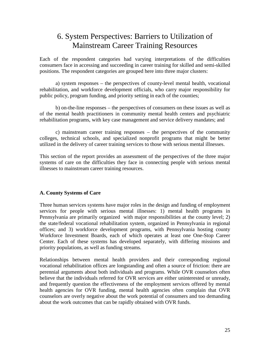## 6. System Perspectives: Barriers to Utilization of Mainstream Career Training Resources

Each of the respondent categories had varying interpretations of the difficulties consumers face in accessing and succeeding in career training for skilled and semi-skilled positions. The respondent categories are grouped here into three major clusters:

a) system responses – the perspectives of county-level mental health, vocational rehabilitation, and workforce development officials, who carry major responsibility for public policy, program funding, and priority setting in each of the counties;

b) on-the-line responses – the perspectives of consumers on these issues as well as of the mental health practitioners in community mental health centers and psychiatric rehabilitation programs, with key case management and service delivery mandates; and

c) mainstream career training responses – the perspectives of the community colleges, technical schools, and specialized nonprofit programs that might be better utilized in the delivery of career training services to those with serious mental illnesses.

This section of the report provides an assessment of the perspectives of the three major systems of care on the difficulties they face in connecting people with serious mental illnesses to mainstream career training resources.

#### **A. County Systems of Care**

Three human services systems have major roles in the design and funding of employment services for people with serious mental illnesses: 1) mental health programs in Pennsylvania are primarily organized with major responsibilities at the county level; 2) the state/federal vocational rehabilitation system, organized in Pennsylvania in regional offices; and 3) workforce development programs, with Pennsylvania hosting county Workforce Investment Boards, each of which operates at least one One-Stop Career Center. Each of these systems has developed separately, with differing missions and priority populations, as well as funding streams.

Relationships between mental health providers and their corresponding regional vocational rehabilitation offices are longstanding and often a source of friction: there are perennial arguments about both individuals and programs. While OVR counselors often believe that the individuals referred for OVR services are either uninterested or unready, and frequently question the effectiveness of the employment services offered by mental health agencies for OVR funding, mental health agencies often complain that OVR counselors are overly negative about the work potential of consumers and too demanding about the work outcomes that can be rapidly obtained with OVR funds.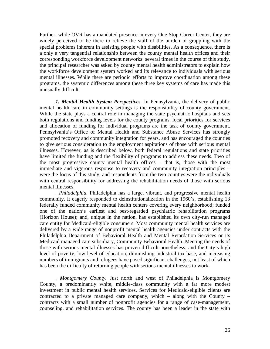Further, while OVR has a mandated presence in every One-Stop Career Center, they are widely perceived to be there to relieve the staff of the burden of grappling with the special problems inherent in assisting people with disabilities. As a consequence, there is a only a very tangential relationship between the county mental health offices and their corresponding workforce development networks: several times in the course of this study, the principal researcher was asked by county mental health administrators to explain how the workforce development system worked and its relevance to individuals with serious mental illnesses. While there are periodic efforts to improve coordination among these programs, the systemic differences among these three key systems of care has made this unusually difficult.

*1. Mental Health System Perspectives.* In Pennsylvania, the delivery of public mental health care in community settings is the responsibility of county government. While the state plays a central role in managing the state psychiatric hospitals and sets both regulations and funding levels for the county programs, local priorities for services and allocation of funding for individual programs are the task of county government. Pennsylvania's Office of Mental Health and Substance Abuse Services has strongly promoted recovery and community integration for years, and has encouraged the counties to give serious consideration to the employment aspirations of those with serious mental illnesses. However, as is described below, both federal regulations and state priorities have limited the funding and the flexibility of programs to address these needs. Two of the most progressive county mental health offices – that is, those with the most immediate and vigorous response to recovery and community integration principles – were the focus of this study; and respondents from the two counties were the individuals with central responsibility for addressing the rehabilitation needs of those with serious mental illnesses.

*. Philadelphia.* Philadelphia has a large, vibrant, and progressive mental health community. It eagerly responded to deinstitutionalization in the 1960's, establishing 13 federally funded community mental health centers covering every neighborhood; funded one of the nation's earliest and best-regarded psychiatric rehabilitation programs (Horizon House); and, unique in the nation, has established its own city-run managed care entity for Medicaid-eligible consumers. Most community mental health services are delivered by a wide range of nonprofit mental health agencies under contracts with the Philadelphia Department of Behavioral Health and Mental Retardation Services or its Medicaid managed care subsidiary, Community Behavioral Health. Meeting the needs of those with serious mental illnesses has proven difficult nonetheless; and the City's high level of poverty, low level of education, diminishing industrial tax base, and increasing numbers of immigrants and refugees have posed significant challenges, not least of which has been the difficulty of returning people with serious mental illnesses to work.

*. Montgomery County.* Just north and west of Philadelphia is Montgomery County, a predominantly white, middle-class community with a far more modest investment in public mental health services. Services for Medicaid-eligible clients are contracted to a private managed care company, which  $-$  along with the County  $$ contracts with a small number of nonprofit agencies for a range of case-management, counseling, and rehabilitation services. The county has been a leader in the state with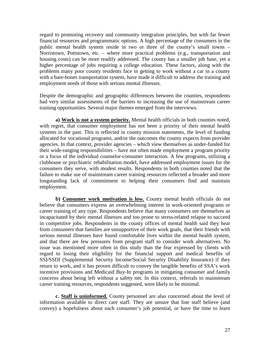regard to promoting recovery and community integration principles, but with far fewer financial resources and programmatic options. A high percentage of the consumers in the public mental health system reside in two or three of the county's small towns – Norristown, Pottstown, etc. – where more practical problems (e.g., transportation and housing costs) can be more readily addressed. The county has a smaller job base, yet a higher percentage of jobs requiring a college education. These factors, along with the problems many poor county residents face in getting to work without a car in a county with a bare-bones transportation system, have made it difficult to address the training and employment needs of those with serious mental illnesses.

Despite the demographic and geographic differences between the counties, respondents had very similar assessments of the barriers to increasing the use of mainstream career training opportunities. Several major themes emerged from the interviews:

**a) Work is not a system priority.** Mental health officials in both counties noted, with regret, that consumer employment has not been a priority of their mental health systems in the past. This is reflected in county mission statements, the level of funding allocated for vocational programs, and/or the outcomes the county expects from provider agencies. In that context, provider agencies – which view themselves as under-funded for their wide-ranging responsibilities – have not often made employment a program priority or a focus of the individual counselor-consumer interaction. A few programs, utilizing a clubhouse or psychiatric rehabilitation model, have addressed employment issues for the consumers they serve, with modest results. Respondents in both counties noted that the failure to make use of mainstream career training resources reflected a broader and more longstanding lack of commitment to helping their consumers find and maintain employment.

**b) Consumer work motivation is low.** County mental health officials do not believe that consumers express an overwhelming interest in work-oriented programs or career training of any type. Respondents believe that many consumers see themselves as incapacitated by their mental illnesses and too prone to stress-related relapse to succeed in competitive jobs. Respondents in the county offices of mental health said they hear from consumers that families are unsupportive of their work goals, that their friends with serious mental illnesses have found comfortable lives within the mental health system, and that there are few pressures from program staff to consider work alternatives. No issue was mentioned more often in this study than the fear expressed by clients with regard to losing their eligibility for the financial support and medical benefits of SSI/SSDI (Supplemental Security Income/Social Security Disability Insurance) if they return to work, and it has proven difficult to convey the tangible benefits of SSA's work incentive provisions and Medicaid Buy-In programs in mitigating consumer and family concerns about being left without a safety net. In this context, referrals to mainstream career training resources, respondents suggested, were likely to be minimal.

**c. Staff is uninformed.** County personnel are also concerned about the level of information available to direct care staff. They are unsure that line staff believe (and convey) a hopefulness about each consumer's job potential, or have the time to learn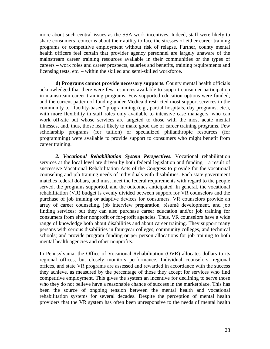more about such central issues as the SSA work incentives. Indeed, staff were likely to share consumers' concerns about their ability to face the stresses of either career training programs or competitive employment without risk of relapse. Further, county mental health officers feel certain that provider agency personnel are largely unaware of the mainstream career training resources available in their communities or the types of careers – work roles and career prospects, salaries and benefits, training requirements and licensing tests, etc. – within the skilled and semi-skilled workforce.

**d) Programs cannot provide necessary supports.** County mental health officials acknowledged that there were few resources available to support consumer participation in mainstream career training programs. Few supported education options were funded; and the current pattern of funding under Medicaid restricted most support services in the community to "facility-based" programming (e.g., partial hospitals, day programs, etc.), with more flexibility in staff roles only available to intensive case managers, who can work off-site but whose services are targeted to those with the most acute mental illnesses, and, thus, those least likely to make good use of career training programs. Few scholarship programs (for tuition) or specialized philanthropic resources (for programming) were available to provide support to consumers who might benefit from career training.

*2. Vocational Rehabilitation System Perspectives.* Vocational rehabilitation services at the local level are driven by both federal legislation and funding – a result of successive Vocational Rehabilitation Acts of the Congress to provide for the vocational counseling and job training needs of individuals with disabilities. Each state government matches federal dollars, and must meet the federal requirements with regard to the people served, the programs supported, and the outcomes anticipated. In general, the vocational rehabilitation (VR) budget is evenly divided between support for VR counselors and the purchase of job training or adaptive devices for consumers. VR counselors provide an array of career counseling, job interview preparation, résumé development, and job finding services; but they can also purchase career education and/or job training for consumers from either nonprofit or for-profit agencies. Thus, VR counselors have a wide range of knowledge both about disabilities and about career training. They support many persons with serious disabilities in four-year colleges, community colleges, and technical schools; and provide program funding or per person allocations for job training to both mental health agencies and other nonprofits.

In Pennsylvania, the Office of Vocational Rehabilitation (OVR) allocates dollars to its regional offices, but closely monitors performance. Individual counselors, regional offices, and state VR programs are assessed and rewarded in accordance with the success they achieve, as measured by the percentage of those they accept for services who find competitive employment. This gives the system an incentive for declining to serve those who they do not believe have a reasonable chance of success in the marketplace. This has been the source of ongoing tension between the mental health and vocational rehabilitation systems for several decades. Despite the perception of mental health providers that the VR system has often been unresponsive to the needs of mental health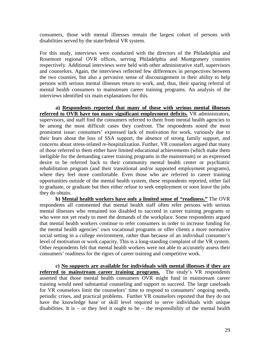consumers, those with mental illnesses remain the largest cohort of persons with disabilities served by the state/federal VR system.

For this study, interviews were conducted with the directors of the Philadelphia and Rosemont regional OVR offices, serving Philadelphia and Montgomery counties respectively. Additional interviews were held with other administrative staff, supervisors and counselors. Again, the interviews reflected few differences in perspectives between the two counties, but also a pervasive sense of discouragement in their ability to help persons with serious mental illnesses return to work, and, thus, their sparing referral of mental health consumers to mainstream career training programs. An analysis of the interviews identified six main explanations for this.

**a) Respondents reported that many of those with serious mental illnesses referred to OVR have too many significant employment deficits.** VR administrators, supervisors, and staff find the consumers referred to them from mental health agencies to be among the most difficult cases they confront. The respondents noted the most prominent issue: consumers' expressed lack of motivation for work, variously due to their fears about the loss of SSA support, the absence of strong family support, and concerns about stress-related re-hospitalization. Further, VR counselors argued that many of those referred to them either have limited educational achievements (which make them ineligible for the demanding career training programs in the mainstream) or an expressed desire to be referred back to their community mental health center or psychiatric rehabilitation program (and their transitional and/or supported employment programs), where they feel more comfortable. Even those who are referred to career training opportunities outside of the mental health system, these respondents reported, either fail to graduate, or graduate but then either refuse to seek employment or soon leave the jobs they do obtain.

**b) Mental health workers have only a limited sense of "readiness."** The OVR respondents all commented that mental health staff often refer persons with serious mental illnesses who remained too disabled to succeed in career training programs or who were not yet ready to meet the demands of the workplace. Some respondents argued that mental health workers continue to refer consumers in order to increase funding for the mental health agencies' own vocational programs or offer clients a more normative social setting in a college environment, rather than because of an individual consumer's level of motivation or work capacity. This is a long-standing complaint of the VR system. Other respondents felt that mental health workers were not able to accurately assess their consumers' readiness for the rigors of career training and competitive work.

**c) No supports are available for individuals with mental illnesses if they are referred to mainstream career training programs.** The study's VR respondents asserted that those mental health consumers OVR might fund in mainstream career training would need substantial counseling and support to succeed. The large caseloads for VR counselors limit the counselors' time to respond to consumers' ongoing needs, periodic crises, and practical problems. Further VR counselors reported that they do not have the knowledge base or skill level required to serve individuals with unique disabilities. It is – or they feel it ought to be – the responsibility of the mental health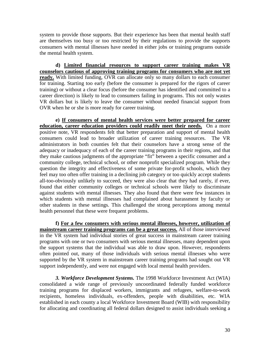system to provide those supports. But their experience has been that mental health staff are themselves too busy or too restricted by their regulations to provide the supports consumers with mental illnesses have needed in either jobs or training programs outside the mental health system.

**d) Limited financial resources to support career training makes VR counselors cautious of approving training programs for consumers who are not yet ready.** With limited funding, OVR can allocate only so many dollars to each consumer for training. Starting too early (before the consumer is prepared for the rigors of career training) or without a clear focus (before the consumer has identified and committed to a career direction) is likely to lead to consumers failing in programs. This not only wastes VR dollars but is likely to leave the consumer without needed financial support from OVR when he or she is more ready for career training.

**e) If consumers of mental health services were better prepared for career education, career education providers could readily meet their needs.** On a more positive note, VR respondents felt that better preparation and support of mental health consumers could lead to broader utilization of career training resources. The VR administrators in both counties felt that their counselors have a strong sense of the adequacy or inadequacy of each of the career training programs in their regions, and that they make cautious judgments of the appropriate "fit" between a specific consumer and a community college, technical school, or other nonprofit specialized program. While they question the integrity and effectiveness of some private for-profit schools, which they feel may too often offer training in a declining job category or too quickly accept students all-too-obviously unlikely to succeed, they were also clear that they had rarely, if ever, found that either community colleges or technical schools were likely to discriminate against students with mental illnesses. They also found that there were few instances in which students with mental illnesses had complained about harassment by faculty or other students in these settings. This challenged the strong perceptions among mental health personnel that these were frequent problems.

**f) For a few consumers with serious mental illnesses, however, utilization of mainstream career training programs can be a great success.** All of those interviewed in the VR system had individual stories of great success in mainstream career training programs with one or two consumers with serious mental illnesses, many dependent upon the support systems that the individual was able to draw upon. However, respondents often pointed out, many of those individuals with serious mental illnesses who were supported by the VR system in mainstream career training programs had sought out VR support independently, and were not engaged with local mental health providers.

*3. Workforce Development Systems.* The 1998 Workforce Investment Act (WIA) consolidated a wide range of previously uncoordinated federally funded workforce training programs for displaced workers, immigrants and refugees, welfare-to-work recipients, homeless individuals, ex-offenders, people with disabilities, etc. WIA established in each county a local Workforce Investment Board (WIB) with responsibility for allocating and coordinating all federal dollars designed to assist individuals seeking a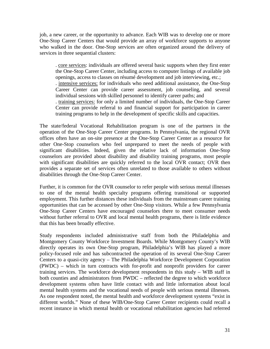job, a new career, or the opportunity to advance. Each WIB was to develop one or more One-Stop Career Centers that would provide an array of workforce supports to anyone who walked in the door. One-Stop services are often organized around the delivery of services in three sequential clusters:

. core services: individuals are offered several basic supports when they first enter the One-Stop Career Center, including access to computer listings of available job openings, access to classes on résumé development and job interviewing, etc.; . intensive services: for individuals who need additional assistance, the One-Stop Career Center can provide career assessment, job counseling, and several individual sessions with skilled personnel to identify career paths; and . training services: for only a limited number of individuals, the One-Stop Career Center can provide referral to and financial support for participation in career training programs to help in the development of specific skills and capacities.

The state/federal Vocational Rehabilitation program is one of the partners in the operation of the One-Stop Career Center programs. In Pennsylvania, the regional OVR offices often have an on-site presence at the One-Stop Career Center as a resource for other One-Stop counselors who feel unprepared to meet the needs of people with significant disabilities. Indeed, given the relative lack of information One-Stop counselors are provided about disability and disability training programs, most people with significant disabilities are quickly referred to the local OVR contact; OVR then provides a separate set of services often unrelated to those available to others without disabilities through the One-Stop Career Center.

Further, it is common for the OVR counselor to refer people with serious mental illnesses to one of the mental health specialty programs offering transitional or supported employment. This further distances these individuals from the mainstream career training opportunities that can be accessed by other One-Stop visitors. While a few Pennsylvania One-Stop Career Centers have encouraged counselors there to meet consumer needs without further referral to OVR and local mental health programs, there is little evidence that this has been broadly effective.

Study respondents included administrative staff from both the Philadelphia and Montgomery County Workforce Investment Boards. While Montgomery County's WIB directly operates its own One-Stop program, Philadelphia's WIB has played a more policy-focused role and has subcontracted the operation of its several One-Stop Career Centers to a quasi-city agency – The Philadelphia Workforce Development Corporation (PWDC) – which in turn contracts with for-profit and nonprofit providers for career training services. The workforce development respondents in this study – WIB staff in both counties and administrators from PWDC – reflected the degree to which workforce development systems often have little contact with and little information about local mental health systems and the vocational needs of people with serious mental illnesses. As one respondent noted, the mental health and workforce development systems "exist in different worlds." None of these WIB/One-Stop Career Center recipients could recall a recent instance in which mental health or vocational rehabilitation agencies had referred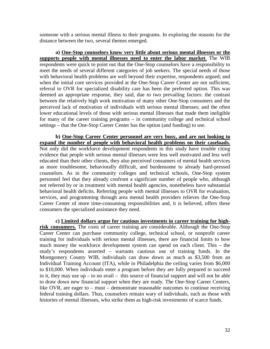someone with a serious mental illness to their programs. In exploring the reasons for the distance between the two, several themes emerged.

**a) One-Stop counselors know very little about serious mental illnesses or the supports people with mental illnesses need to enter the labor market**. The WIB respondents were quick to point out that the One-Stop counselors have a responsibility to meet the needs of several different categories of job seekers. The special needs of those with behavioral health problems are well beyond their expertise, respondents argued; and when the initial core services provided at the One-Stop Career Center are not sufficient, referral to OVR for specialized disability care has been the preferred option. This was deemed an appropriate response, they said, due to two prevailing factors: the contrast between the relatively high work motivation of many other One-Stop consumers and the perceived lack of motivation of individuals with serious mental illnesses; and the often lower educational levels of those with serious mental illnesses that made them ineligible for many of the career training programs – in community college and technical school settings – that the One-Stop Career Center has the option (and funding) to use.

**b) One-Stop Career Center personnel are very busy, and are not looking to expand the number of people with behavioral health problems on their caseloads.** Not only did the workforce development respondents in this study have trouble citing evidence that people with serious mental illnesses were less well motivated and less well educated than their other clients, they also perceived consumers of mental health services as more troublesome, behaviorally difficult, and burdensome to already hard-pressed counselors. As in the community colleges and technical schools, One-Stop system personnel feel that they already confront a significant number of people who, although not referred by or in treatment with mental health agencies, nonetheless have substantial behavioral health deficits. Referring people with mental illnesses to OVR for evaluation, services, and programming through area mental health providers relieves the One-Stop Career Center of more time-consuming responsibilities and, it is believed, offers these consumers the specialized assistance they need.

**c) Limited dollars argue for cautious investments in career training for highrisk consumers.** The costs of career training are considerable. Although the One-Stop Career Center can purchase community college, technical school, or nonprofit career training for individuals with serious mental illnesses, there are financial limits to how much money the workforce development system can spend on each client. This – the study's respondents asserted – warrants cautious use of training funds. In the Montgomery County WIB, individuals can draw down as much as \$3,500 from an Individual Training Account (ITA), while in Philadelphia the ceiling varies from \$6,000 to \$10,000. When individuals enter a program before they are fully prepared to succeed in it, they may use  $up - to$  no avail – this source of financial support and will not be able to draw down new financial support when they are ready. The One-Stop Career Centers, like OVR, are eager to – must – demonstrate reasonable outcomes to continue receiving federal training dollars. Thus, counselors remain wary of individuals, such as those with histories of mental illnesses, who strike them as high-risk investments of scarce funds.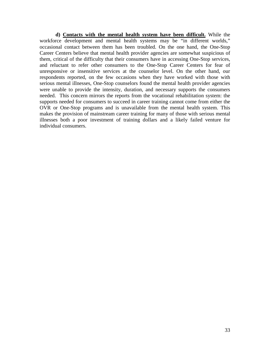**d) Contacts with the mental health system have been difficult.** While the workforce development and mental health systems may be "in different worlds," occasional contact between them has been troubled. On the one hand, the One-Stop Career Centers believe that mental health provider agencies are somewhat suspicious of them, critical of the difficulty that their consumers have in accessing One-Stop services, and reluctant to refer other consumers to the One-Stop Career Centers for fear of unresponsive or insensitive services at the counselor level. On the other hand, our respondents reported, on the few occasions when they have worked with those with serious mental illnesses, One-Stop counselors found the mental health provider agencies were unable to provide the intensity, duration, and necessary supports the consumers needed. This concern mirrors the reports from the vocational rehabilitation system: the supports needed for consumers to succeed in career training cannot come from either the OVR or One-Stop programs and is unavailable from the mental health system. This makes the provision of mainstream career training for many of those with serious mental illnesses both a poor investment of training dollars and a likely failed venture for individual consumers.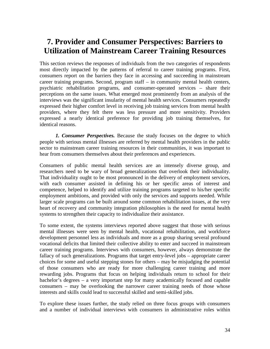# **7. Provider and Consumer Perspectives: Barriers to Utilization of Mainstream Career Training Resources**

This section reviews the responses of individuals from the two categories of respondents most directly impacted by the patterns of referral to career training programs. First, consumers report on the barriers they face in accessing and succeeding in mainstream career training programs. Second, program staff – in community mental health centers, psychiatric rehabilitation programs, and consumer-operated services – share their perceptions on the same issues. What emerged most prominently from an analysis of the interviews was the significant insularity of mental health services. Consumers repeatedly expressed their higher comfort level in receiving job training services from mental health providers, where they felt there was less pressure and more sensitivity. Providers expressed a nearly identical preference for providing job training themselves, for identical reasons.

*1. Consumer Perspectives.* Because the study focuses on the degree to which people with serious mental illnesses are referred by mental health providers in the public sector to mainstream career training resources in their communities, it was important to hear from consumers themselves about their preferences and experiences.

Consumers of public mental health services are an intensely diverse group, and researchers need to be wary of broad generalizations that overlook their individuality. That individuality ought to be most pronounced in the delivery of employment services, with each consumer assisted in defining his or her specific areas of interest and competence, helped to identify and utilize training programs targeted to his/her specific employment ambitions, and provided with only the services and supports needed. While larger scale programs can be built around some common rehabilitation issues, at the very heart of recovery and community integration philosophies is the need for mental health systems to strengthen their capacity to individualize their assistance.

To some extent, the systems interviews reported above suggest that those with serious mental illnesses were seen by mental health, vocational rehabilitation, and workforce development personnel less as individuals and more as a group sharing several profound vocational deficits that limited their collective ability to enter and succeed in mainstream career training programs. Interviews with consumers, however, always demonstrate the fallacy of such generalizations. Programs that target entry-level jobs – appropriate career choices for some and useful stepping stones for others – may be misjudging the potential of those consumers who are ready for more challenging career training and more rewarding jobs. Programs that focus on helping individuals return to school for their bachelor's degrees – a very important step for many academically focused and capable consumers – may be overlooking the narrower career training needs of those whose interests and skills could lead to successful skilled and semi-skilled jobs.

To explore these issues further, the study relied on three focus groups with consumers and a number of individual interviews with consumers in administrative roles within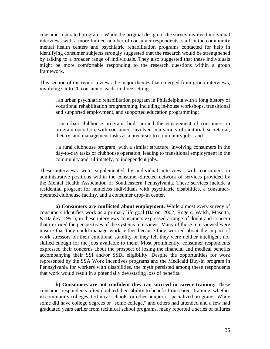consumer-operated programs. While the original design of the survey involved individual interviews with a more limited number of consumer respondents, staff in the community mental health centers and psychiatric rehabilitation programs contacted for help in identifying consumer subjects strongly suggested that the research would be strengthened by talking to a broader range of individuals. They also suggested that these individuals might be more comfortable responding to the research questions within a group framework.

This section of the report reviews the major themes that emerged from group interviews, involving six to 20 consumers each, in three settings:

. an urban psychiatric rehabilitation program in Philadelphia with a long history of vocational rehabilitation programming, including in-house workshops, transitional and supported employment, and supported education programming;

. an urban clubhouse program, built around the engagement of consumers in program operation, with consumers involved in a variety of janitorial, secretarial, dietary, and management tasks as a precursor to community jobs; and

. a rural clubhouse program, with a similar structure, involving consumers in the day-to-day tasks of clubhouse operation, leading to transitional employment in the community and, ultimately, to independent jobs.

These interviews were supplemented by individual interviews with consumers in administrative positions within the consumer-directed network of services provided by the Mental Health Association of Southeastern Pennsylvania. These services include a residential program for homeless individuals with psychiatric disabilities, a consumeroperated clubhouse facility, and a consumer drop-in center.

**a) Consumers are conflicted about employment.** While almost every survey of consumers identifies work as a primary life goal (Baron, 2002; Rogers, Walsh, Masotta, & Danley, 1991), in these interviews consumers expressed a range of doubt and concern that mirrored the perspectives of the systems interviews. Many of those interviewed were unsure that they could manage work, either because they worried about the impact of work stressors on their emotional stability or they felt they were neither intelligent nor skilled enough for the jobs available to them. Most prominently, consumer respondents expressed their concerns about the prospect of losing the financial and medical benefits accompanying their SSI and/or SSDI eligibility. Despite the opportunities for work represented by the SSA Work Incentives programs and the Medicaid Buy-In program in Pennsylvania for workers with disabilities, the myth persisted among these respondents that work would result in a potentially devastating loss of benefits.

**b) Consumers are not confident they can succeed in career training.** These consumer respondents often doubted their ability to benefit from career training, whether in community colleges, technical schools, or other nonprofit specialized programs. While some did have college degrees or "some college," and others had attended and a few had graduated years earlier from technical school programs, many reported a series of failures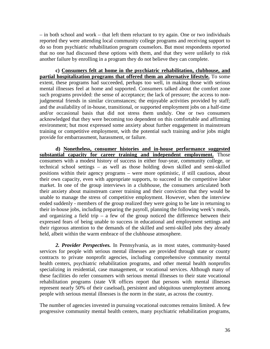– in both school and work – that left them reluctant to try again. One or two individuals reported they were attending local community college programs and receiving support to do so from psychiatric rehabilitation program counselors. But most respondents reported that no one had discussed these options with them, and that they were unlikely to risk another failure by enrolling in a program they do not believe they can complete.

**c) Consumers felt at home in the psychiatric rehabilitation, clubhouse, and partial hospitalization programs that offered them an alternative lifestyle.** To some extent, these programs had succeeded, perhaps too well, in making those with serious mental illnesses feel at home and supported. Consumers talked about the comfort zone such programs provided: the sense of acceptance; the lack of pressure; the access to nonjudgmental friends in similar circumstances; the enjoyable activities provided by staff; and the availability of in-house, transitional, or supported employment jobs on a half-time and/or occasional basis that did not stress them unduly. One or two consumers acknowledged that they were becoming too dependent on this comfortable and affirming environment; but most expressed some anxiety about further engagement in mainstream training or competitive employment, with the potential such training and/or jobs might provide for embarrassment, harassment, or failure.

**d) Nonetheless, consumer histories and in-house performance suggested substantial capacity for career training and independent employment.** Those consumers with a modest history of success in either four-year, community college, or technical school settings – as well as those holding down skilled and semi-skilled positions within their agency programs – were more optimistic, if still cautious, about their own capacity, even with appropriate supports, to succeed in the competitive labor market. In one of the group interviews in a clubhouse, the consumers articulated both their anxiety about mainstream career training and their conviction that they would be unable to manage the stress of competitive employment. However, when the interview ended suddenly - members of the group realized they were going to be late in returning to their in-house jobs, including preparing the payroll, planning the following week's meals, and organizing a field trip  $-$  a few of the group noticed the difference between their expressed fears of being unable to success in educational and employment settings and their rigorous attention to the demands of the skilled and semi-skilled jobs they already held, albeit within the warm embrace of the clubhouse atmosphere.

*2. Provider Perspectives.* In Pennsylvania, as in most states, community-based services for people with serious mental illnesses are provided through state or county contracts to private nonprofit agencies, including comprehensive community mental health centers, psychiatric rehabilitation programs, and other mental health nonprofits specializing in residential, case management, or vocational services. Although many of these facilities do refer consumers with serious mental illnesses to their state vocational rehabilitation programs (state VR offices report that persons with mental illnesses represent nearly 50% of their caseload), persistent and ubiquitous unemployment among people with serious mental illnesses is the norm in the state, as across the country.

The number of agencies invested in pursuing vocational outcomes remains limited. A few progressive community mental health centers, many psychiatric rehabilitation programs,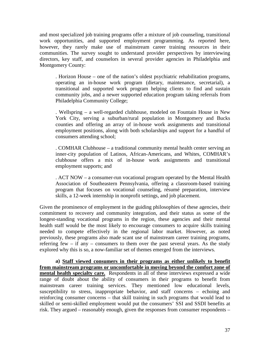and most specialized job training programs offer a mixture of job counseling, transitional work opportunities, and supported employment programming. As reported here, however, they rarely make use of mainstream career training resources in their communities. The survey sought to understand provider perspectives by interviewing directors, key staff, and counselors in several provider agencies in Philadelphia and Montgomery County:

. Horizon House – one of the nation's oldest psychiatric rehabilitation programs, operating an in-house work program (dietary, maintenance, secretarial), a transitional and supported work program helping clients to find and sustain community jobs, and a newer supported education program taking referrals from Philadelphia Community College;

. Wellspring – a well-regarded clubhouse, modeled on Fountain House in New York City, serving a suburban/rural population in Montgomery and Bucks counties and offering an array of in-house work assignments and transitional employment positions, along with both scholarships and support for a handful of consumers attending school;

. COMHAR Clubhouse – a traditional community mental health center serving an inner-city population of Latinos, African-Americans, and Whites, COMHAR's clubhouse offers a mix of in-house work assignments and transitional employment supports; and

. ACT NOW – a consumer-run vocational program operated by the Mental Health Association of Southeastern Pennsylvania, offering a classroom-based training program that focuses on vocational counseling, résumé preparation, interview skills, a 12-week internship in nonprofit settings, and job placement.

Given the prominence of employment in the guiding philosophies of these agencies, their commitment to recovery and community integration, and their status as some of the longest-standing vocational programs in the region, these agencies and their mental health staff would be the most likely to encourage consumers to acquire skills training needed to compete effectively in the regional labor market. However, as noted previously, these programs also made scant use of mainstream career training programs, referring few – if any – consumers to them over the past several years. As the study explored why this is so, a now-familiar set of themes emerged from the interviews.

**a) Staff viewed consumers in their programs as either unlikely to benefit from mainstream programs or uncomfortable in moving beyond the comfort zone of mental health specialty care.** Respondents in all of these interviews expressed a wide range of doubt about the ability of consumers in their programs to benefit from mainstream career training services. They mentioned low educational levels, susceptibility to stress, inappropriate behavior, and staff concerns – echoing and reinforcing consumer concerns – that skill training in such programs that would lead to skilled or semi-skilled employment would put the consumers' SSI and SSDI benefits at risk. They argued – reasonably enough, given the responses from consumer respondents –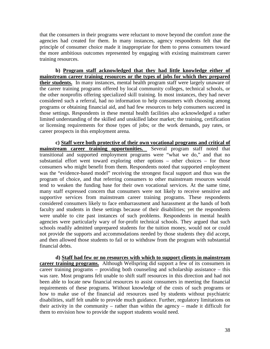that the consumers in their programs were reluctant to move beyond the comfort zone the agencies had created for them. In many instances, agency respondents felt that the principle of consumer choice made it inappropriate for them to press consumers toward the more ambitious outcomes represented by engaging with existing mainstream career training resources.

**b) Program staff acknowledged that they had little knowledge either of mainstream career training resources or the types of jobs for which they prepared their students.** In many instances, mental health program staff were largely unaware of the career training programs offered by local community colleges, technical schools, or the other nonprofits offering specialized skill training. In most instances, they had never considered such a referral, had no information to help consumers with choosing among programs or obtaining financial aid, and had few resources to help consumers succeed in those settings. Respondents in these mental health facilities also acknowledged a rather limited understanding of the skilled and unskilled labor market; the training, certification or licensing requirements for those types of jobs; or the work demands, pay rates, or career prospects in this employment arena.

**c) Staff were both protective of their own vocational programs and critical of mainstream career training opportunities.** Several program staff noted that transitional and supported employment programs were "what we do," and that no substantial effort went toward exploring other options – other choices – for those consumers who might benefit from them. Respondents noted that supported employment was the "evidence-based model" receiving the strongest fiscal support and thus was the program of choice, and that referring consumers to other mainstream resources would tend to weaken the funding base for their own vocational services. At the same time, many staff expressed concern that consumers were not likely to receive sensitive and supportive services from mainstream career training programs. These respondents considered consumers likely to face embarrassment and harassment at the hands of both faculty and students in these settings because of their disabilities; yet the respondents were unable to cite past instances of such problems. Respondents in mental health agencies were particularly wary of for-profit technical schools. They argued that such schools readily admitted unprepared students for the tuition money, would not or could not provide the supports and accommodations needed by those students they did accept, and then allowed those students to fail or to withdraw from the program with substantial financial debts.

**d) Staff had few or no resources with which to support clients in mainstream career training programs.** Although Wellspring did support a few of its consumers in career training programs – providing both counseling and scholarship assistance – this was rare. Most programs felt unable to shift staff resources in this direction and had not been able to locate new financial resources to assist consumers in meeting the financial requirements of these programs. Without knowledge of the costs of such programs or how to make use of the financial aid resources used by students without psychiatric disabilities, staff felt unable to provide much guidance. Further, regulatory limitations on their activity in the community – rather than within the agency – made it difficult for them to envision how to provide the support students would need.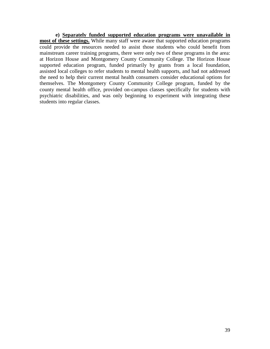**e) Separately funded supported education programs were unavailable in**  most of these settings. While many staff were aware that supported education programs could provide the resources needed to assist those students who could benefit from mainstream career training programs, there were only two of these programs in the area: at Horizon House and Montgomery County Community College. The Horizon House supported education program, funded primarily by grants from a local foundation, assisted local colleges to refer students to mental health supports, and had not addressed the need to help their current mental health consumers consider educational options for themselves. The Montgomery County Community College program, funded by the county mental health office, provided on-campus classes specifically for students with psychiatric disabilities, and was only beginning to experiment with integrating these students into regular classes.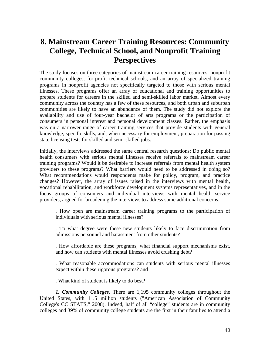# **8. Mainstream Career Training Resources: Community College, Technical School, and Nonprofit Training Perspectives**

The study focuses on three categories of mainstream career training resources: nonprofit community colleges, for-profit technical schools, and an array of specialized training programs in nonprofit agencies not specifically targeted to those with serious mental illnesses. These programs offer an array of educational and training opportunities to prepare students for careers in the skilled and semi-skilled labor market. Almost every community across the country has a few of these resources, and both urban and suburban communities are likely to have an abundance of them. The study did not explore the availability and use of four-year bachelor of arts programs or the participation of consumers in personal interest and personal development classes. Rather, the emphasis was on a narrower range of career training services that provide students with general knowledge, specific skills, and, when necessary for employment, preparation for passing state licensing tests for skilled and semi-skilled jobs.

Initially, the interviews addressed the same central research questions: Do public mental health consumers with serious mental illnesses receive referrals to mainstream career training programs? Would it be desirable to increase referrals from mental health system providers to these programs? What barriers would need to be addressed in doing so? What recommendations would respondents make for policy, program, and practice changes? However, the array of issues raised in the interviews with mental health, vocational rehabilitation, and workforce development systems representatives, and in the focus groups of consumers and individual interviews with mental health service providers, argued for broadening the interviews to address some additional concerns:

. How open are mainstream career training programs to the participation of individuals with serious mental illnesses?

. To what degree were these new students likely to face discrimination from admissions personnel and harassment from other students?

. How affordable are these programs, what financial support mechanisms exist, and how can students with mental illnesses avoid crushing debt?

. What reasonable accommodations can students with serious mental illnesses expect within these rigorous programs? and

. What kind of student is likely to do best?

*1. Community Colleges.* There are 1,195 community colleges throughout the United States, with 11.5 million students ("American Association of Community College's CC STATS," 2008). Indeed, half of all "college" students are in community colleges and 39% of community college students are the first in their families to attend a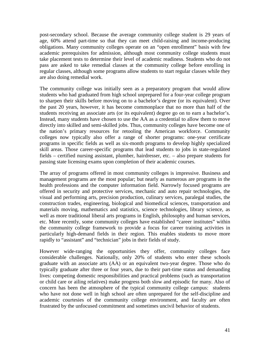post-secondary school. Because the average community college student is 29 years of age, 60% attend part-time so that they can meet child-raising and income-producing obligations. Many community colleges operate on an "open enrollment" basis with few academic prerequisites for admission, although most community college students must take placement tests to determine their level of academic readiness. Students who do not pass are asked to take remedial classes at the community college before enrolling in regular classes, although some programs allow students to start regular classes while they are also doing remedial work.

The community college was initially seen as a preparatory program that would allow students who had graduated from high school unprepared for a four-year college program to sharpen their skills before moving on to a bachelor's degree (or its equivalent). Over the past 20 years, however, it has become commonplace that no more than half of the students receiving an associate arts (or its equivalent) degree go on to earn a bachelor's. Instead, many students have chosen to use the AA as a credential to allow them to move directly into skilled and semi-skilled jobs. Thus, community colleges have become one of the nation's primary resources for retooling the American workforce. Community colleges now typically also offer a range of shorter programs: one-year certificate programs in specific fields as well as six-month programs to develop highly specialized skill areas. Those career-specific programs that lead students to jobs in state-regulated fields – certified nursing assistant, plumber, hairdresser, etc. – also prepare students for passing state licensing exams upon completion of their academic courses.

The array of programs offered in most community colleges is impressive. Business and management programs are the most popular; but nearly as numerous are programs in the health professions and the computer information field. Narrowly focused programs are offered in security and protective services, mechanic and auto repair technologies, the visual and performing arts, precision production, culinary services, paralegal studies, the construction trades, engineering, biological and biomedical sciences, transportation and materials moving, mathematics and statistics, science technologies, library science, as well as more traditional liberal arts programs in English, philosophy and human services, etc. More recently, some community colleges have established "career institutes" within the community college framework to provide a focus for career training activities in particularly high-demand fields in their region. This enables students to move more rapidly to "assistant" and "technician" jobs in their fields of study.

However wide-ranging the opportunities they offer, community colleges face considerable challenges. Nationally, only 20% of students who enter these schools graduate with an associate arts (AA) or an equivalent two-year degree. Those who do typically graduate after three or four years, due to their part-time status and demanding lives: competing domestic responsibilities and practical problems (such as transportation or child care or ailing relatives) make progress both slow and episodic for many. Also of concern has been the atmosphere of the typical community college campus: students who have not done well in high school are often unprepared for the self-discipline and academic courtesies of the community college environment, and faculty are often frustrated by the unfocused commitment and sometimes uncivil behavior of students.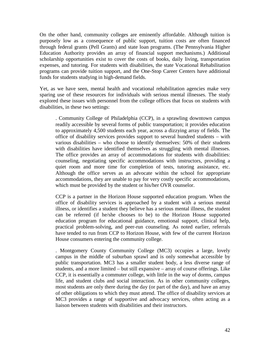On the other hand, community colleges are eminently affordable. Although tuition is purposely low as a consequence of public support, tuition costs are often financed through federal grants (Pell Grants) and state loan programs. (The Pennsylvania Higher Education Authority provides an array of financial support mechanisms.) Additional scholarship opportunities exist to cover the costs of books, daily living, transportation expenses, and tutoring. For students with disabilities, the state Vocational Rehabilitation programs can provide tuition support, and the One-Stop Career Centers have additional funds for students studying in high-demand fields.

Yet, as we have seen, mental health and vocational rehabilitation agencies make very sparing use of these resources for individuals with serious mental illnesses. The study explored these issues with personnel from the college offices that focus on students with disabilities, in these two settings:

. Community College of Philadelphia (CCP), in a sprawling downtown campus readily accessible by several forms of public transportation; it provides education to approximately 4,500 students each year, across a dizzying array of fields. The office of disability services provides support to several hundred students – with various disabilities – who choose to identify themselves: 50% of their students with disabilities have identified themselves as struggling with mental illnesses. The office provides an array of accommodations for students with disabilities: counseling, negotiating specific accommodations with instructors, providing a quiet room and more time for completion of tests, tutoring assistance, etc. Although the office serves as an advocate within the school for appropriate accommodations, they are unable to pay for very costly specific accommodations, which must be provided by the student or his/her OVR counselor.

CCP is a partner in the Horizon House supported education program. When the office of disability services is approached by a student with a serious mental illness, or identifies a student they believe has a serious mental illness, the student can be referred (if he/she chooses to be) to the Horizon House supported education program for educational guidance, emotional support, clinical help, practical problem-solving, and peer-run counseling. As noted earlier, referrals have tended to run from CCP to Horizon House, with few of the current Horizon House consumers entering the community college.

. Montgomery County Community College (MC3) occupies a large, lovely campus in the middle of suburban sprawl and is only somewhat accessible by public transportation. MC3 has a smaller student body, a less diverse range of students, and a more limited – but still expansive – array of course offerings. Like CCP, it is essentially a commuter college, with little in the way of dorms, campus life, and student clubs and social interaction. As in other community colleges, most students are only there during the day (or part of the day), and have an array of other obligations to which they must attend. The office of disability services at MC3 provides a range of supportive and advocacy services, often acting as a liaison between students with disabilities and their instructors.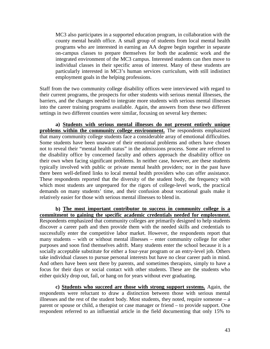MC3 also participates in a supported education program, in collaboration with the county mental health office. A small group of students from local mental health programs who are interested in earning an AA degree begin together in separate on-campus classes to prepare themselves for both the academic work and the integrated environment of the MC3 campus. Interested students can then move to individual classes in their specific areas of interest. Many of these students are particularly interested in MC3's human services curriculum, with still indistinct employment goals in the helping professions.

Staff from the two community college disability offices were interviewed with regard to their current programs, the prospects for other students with serious mental illnesses, the barriers, and the changes needed to integrate more students with serious mental illnesses into the career training programs available. Again, the answers from these two different settings in two different counties were similar, focusing on several key themes:

**a) Students with serious mental illnesses do not present entirely unique problems within the community college environment.** The respondents emphasized that many community college students face a considerable array of emotional difficulties. Some students have been unaware of their emotional problems and others have chosen not to reveal their "mental health status" in the admissions process. Some are referred to the disability office by concerned faculty and others approach the disability office on their own when facing significant problems. In neither case, however, are these students typically involved with public or private mental health providers; nor in the past have there been well-defined links to local mental health providers who can offer assistance. These respondents reported that the diversity of the student body, the frequency with which most students are unprepared for the rigors of college-level work, the practical demands on many students' time, and their confusion about vocational goals make it relatively easier for those with serious mental illnesses to blend in.

**b) The most important contributor to success in community college is a commitment to gaining the specific academic credentials needed for employment.** Respondents emphasized that community colleges are primarily designed to help students discover a career path and then provide them with the needed skills and credentials to successfully enter the competitive labor market. However, the respondents report that many students – with or without mental illnesses – enter community college for other purposes and soon find themselves adrift. Many students enter the school because it is a socially acceptable substitute for either a four-year program or an entry-level job. Others take individual classes to pursue personal interests but have no clear career path in mind. And others have been sent there by parents, and sometimes therapists, simply to have a focus for their days or social contact with other students. These are the students who either quickly drop out, fail, or hang on for years without ever graduating.

**c) Students who succeed are those with strong support systems.** Again, the respondents were reluctant to draw a distinction between those with serious mental illnesses and the rest of the student body. Most students, they noted, require someone – a parent or spouse or child, a therapist or case manager or friend – to provide support. One respondent referred to an influential article in the field documenting that only 15% to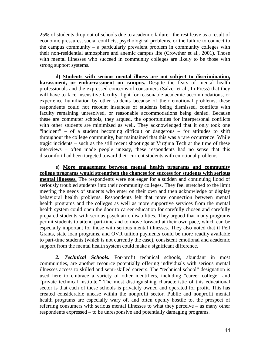25% of students drop out of schools due to academic failure: the rest leave as a result of economic pressures, social conflicts, psychological problems, or the failure to connect to the campus community – a particularly prevalent problem in community colleges with their non-residential atmosphere and anemic campus life (Crowther et al., 2001). Those with mental illnesses who succeed in community colleges are likely to be those with strong support systems.

**d) Students with serious mental illness are not subject to discrimination, harassment, or embarrassment on campus.** Despite the fears of mental health professionals and the expressed concerns of consumers (Salzer et al., In Press) that they will have to face insensitive faculty, fight for reasonable academic accommodations, or experience humiliation by other students because of their emotional problems, these respondents could not recount instances of students being dismissed, conflicts with faculty remaining unresolved, or reasonable accommodations being denied. Because these are commuter schools, they argued, the opportunities for interpersonal conflicts with other students are minimized as well. They acknowledged that it only took one "incident" – of a student becoming difficult or dangerous – for attitudes to shift throughout the college community, but maintained that this was a rare occurrence. While tragic incidents – such as the still recent shootings at Virginia Tech at the time of these interviews – often made people uneasy, these respondents had no sense that this discomfort had been targeted toward their current students with emotional problems.

**e) More engagement between mental health programs and community college programs would strengthen the chances for success for students with serious mental illnesses.** The respondents were not eager for a sudden and continuing flood of seriously troubled students into their community colleges. They feel stretched to the limit meeting the needs of students who enter on their own and then acknowledge or display behavioral health problems. Respondents felt that more connection between mental health programs and the colleges as well as more supportive services from the mental health system could open the door to career education for carefully chosen and carefully prepared students with serious psychiatric disabilities. They argued that many programs permit students to attend part-time and to move forward at their own pace, which can be especially important for those with serious mental illnesses. They also noted that if Pell Grants, state loan programs, and OVR tuition payments could be more readily available to part-time students (which is not currently the case), consistent emotional and academic support from the mental health system could make a significant difference.

*2. Technical Schools.* For-profit technical schools, abundant in most communities, are another resource potentially offering individuals with serious mental illnesses access to skilled and semi-skilled careers. The "technical school" designation is used here to embrace a variety of other identifiers, including "career college" and "private technical institute." The most distinguishing characteristic of this educational sector is that each of these schools is privately owned and operated for profit. This has created considerable unease within the nonprofit sector. Public and nonprofit mental health programs are especially wary of, and often openly hostile to, the prospect of referring consumers with serious mental illnesses to what they perceive – as many other respondents expressed – to be unresponsive and potentially damaging programs.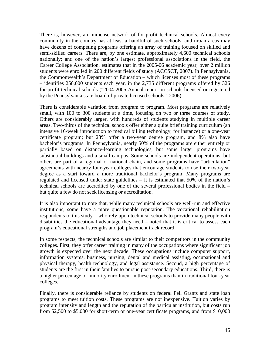There is, however, an immense network of for-profit technical schools. Almost every community in the country has at least a handful of such schools, and urban areas may have dozens of competing programs offering an array of training focused on skilled and semi-skilled careers. There are, by one estimate, approximately 4,600 technical schools nationally; and one of the nation's largest professional associations in the field, the Career College Association, estimates that in the 2005-06 academic year, over 2 million students were enrolled in 200 different fields of study (ACCSCT, 2007). In Pennsylvania, the Commonwealth's Department of Education – which licenses most of these programs – identifies 250,000 students each year, in the 2,735 different programs offered by 326 for-profit technical schools ("2004-2005 Annual report on schools licensed or registered by the Pennsylvania state board of private licensed schools," 2006).

There is considerable variation from program to program. Most programs are relatively small, with 100 to 300 students at a time, focusing on two or three courses of study. Others are considerably larger, with hundreds of students studying in multiple career areas. Two-thirds of the technical schools offer either a quite brief training curriculum (an intensive 16-week introduction to medical billing technology, for instance) or a one-year certificate program; but 28% offer a two-year degree program, and 8% also have bachelor's programs. In Pennsylvania, nearly 50% of the programs are either entirely or partially based on distance-learning technologies, but some larger programs have substantial buildings and a small campus. Some schools are independent operations, but others are part of a regional or national chain, and some programs have "articulation" agreements with nearby four-year colleges that encourage students to use their two-year degree as a start toward a more traditional bachelor's program. Many programs are regulated and licensed under state guidelines – it is estimated that 50% of the nation's technical schools are accredited by one of the several professional bodies in the field – but quite a few do not seek licensing or accreditation.

It is also important to note that, while many technical schools are well-run and effective institutions, some have a more questionable reputation. The vocational rehabilitation respondents to this study – who rely upon technical schools to provide many people with disabilities the educational advantage they need – noted that it is critical to assess each program's educational strengths and job placement track record.

In some respects, the technical schools are similar to their competitors in the community colleges. First, they offer career training in many of the occupations where significant job growth is expected over the next decade. These occupations include computer support, information systems, business, nursing, dental and medical assisting, occupational and physical therapy, health technology, and legal assistance. Second, a high percentage of students are the first in their families to pursue post-secondary educations. Third, there is a higher percentage of minority enrollment in these programs than in traditional four-year colleges.

Finally, there is considerable reliance by students on federal Pell Grants and state loan programs to meet tuition costs. These programs are not inexpensive. Tuition varies by program intensity and length and the reputation of the particular institution, but costs run from \$2,500 to \$5,000 for short-term or one-year certificate programs, and from \$10,000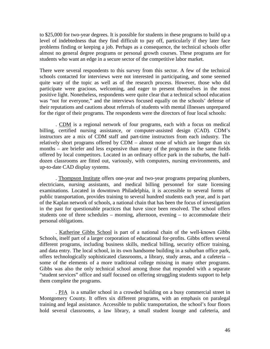to \$25,000 for two-year degrees. It is possible for students in these programs to build up a level of indebtedness that they find difficult to pay off, particularly if they later face problems finding or keeping a job. Perhaps as a consequence, the technical schools offer almost no general degree programs or personal growth courses. These programs are for students who want an edge in a secure sector of the competitive labor market.

There were several respondents to this survey from this sector. A few of the technical schools contacted for interviews were not interested in participating, and some seemed quite wary of the topic as well as of the research process. However, those who did participate were gracious, welcoming, and eager to present themselves in the most positive light. Nonetheless, respondents were quite clear that a technical school education was "not for everyone," and the interviews focused equally on the schools' defense of their reputations and cautions about referrals of students with mental illnesses unprepared for the rigor of their programs. The respondents were the directors of four local schools:

. CDM is a regional network of four programs, each with a focus on medical billing, certified nursing assistance, or computer-assisted design (CAD). CDM's instructors are a mix of CDM staff and part-time instructors from each industry. The relatively short programs offered by CDM – almost none of which are longer than six months – are briefer and less expensive than many of the programs in the same fields offered by local competitors. Located in an ordinary office park in the suburbs, the halfdozen classrooms are fitted out, variously, with computers, nursing environments, and up-to-date CAD display systems.

. Thompson Institute offers one-year and two-year programs preparing plumbers, electricians, nursing assistants, and medical billing personnel for state licensing examinations. Located in downtown Philadelphia, it is accessible to several forms of public transportation, provides training to several hundred students each year, and is part of the Kaplan network of schools, a national chain that has been the focus of investigation in the past for questionable practices that have since been resolved. The school offers students one of three schedules – morning, afternoon, evening – to accommodate their personal obligations.

. Katherine Gibbs School is part of a national chain of the well-known Gibbs Schools, itself part of a larger corporation of educational for-profits. Gibbs offers several different programs, including business skills, medical billing, security officer training, and data entry. The local school, in its own handsome building in a suburban office park, offers technologically sophisticated classrooms, a library, study areas, and a cafeteria – some of the elements of a more traditional college missing in many other programs. Gibbs was also the only technical school among those that responded with a separate "student services" office and staff focused on offering struggling students support to help them complete the programs.

. PJA is a smaller school in a crowded building on a busy commercial street in Montgomery County. It offers six different programs, with an emphasis on paralegal training and legal assistance. Accessible to public transportation, the school's four floors hold several classrooms, a law library, a small student lounge and cafeteria, and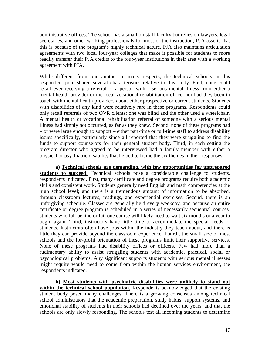administrative offices. The school has a small on-staff faculty but relies on lawyers, legal secretaries, and other working professionals for most of the instruction; PJA asserts that this is because of the program's highly technical nature. PJA also maintains articulation agreements with two local four-year colleges that make it possible for students to more readily transfer their PJA credits to the four-year institutions in their area with a working agreement with PJA.

While different from one another in many respects, the technical schools in this respondent pool shared several characteristics relative to this study. First, none could recall ever receiving a referral of a person with a serious mental illness from either a mental health provider or the local vocational rehabilitation office, nor had they been in touch with mental health providers about either prospective or current students. Students with disabilities of any kind were relatively rare in these programs. Respondents could only recall referrals of two OVR clients: one was blind and the other used a wheelchair. A mental health or vocational rehabilitation referral of someone with a serious mental illness had simply not occurred, as far as they knew. Second, none of these programs had – or were large enough to support – either part-time or full-time staff to address disability issues specifically, particularly since all reported that they were struggling to find the funds to support counselors for their general student body. Third, in each setting the program director who agreed to be interviewed had a family member with either a physical or psychiatric disability that helped to frame the six themes in their responses.

**a) Technical schools are demanding, with few opportunities for unprepared students to succeed**. Technical schools pose a considerable challenge to students, respondents indicated. First, many certificate and degree programs require both academic skills and consistent work. Students generally need English and math competencies at the high school level; and there is a tremendous amount of information to be absorbed, through classroom lectures, readings, and experiential exercises. Second, there is an unforgiving schedule. Classes are generally held every weekday, and because an entire certificate or degree program is scheduled in a series of necessarily sequential courses, students who fall behind or fail one course will likely need to wait six months or a year to begin again. Third, instructors have little time to accommodate the special needs of students. Instructors often have jobs within the industry they teach about, and there is little they can provide beyond the classroom experience. Fourth, the small size of most schools and the for-profit orientation of these programs limit their supportive services. None of these programs had disability offices or officers. Few had more than a rudimentary ability to assist struggling students with academic, practical, social or psychological problems. Any significant supports students with serious mental illnesses might require would need to come from within the human services environment, the respondents indicated.

**b) Most students with psychiatric disabilities were unlikely to stand out within the technical school population.** Respondents acknowledged that the existing student body posed many challenges. There is a growing consensus among technical school administrators that the academic preparation, study habits, support systems, and emotional stability of students in their schools had declined over the years, and that the schools are only slowly responding. The schools test all incoming students to determine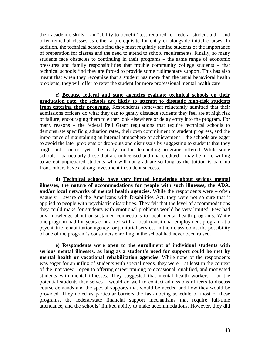their academic skills – an "ability to benefit" test required for federal student aid – and offer remedial classes as either a prerequisite for entry or alongside initial courses. In addition, the technical schools find they must regularly remind students of the importance of preparation for classes and the need to attend to school requirements. Finally, so many students face obstacles to continuing in their programs – the same range of economic pressures and family responsibilities that trouble community college students – that technical schools find they are forced to provide some rudimentary support. This has also meant that when they recognize that a student has more than the usual behavioral health problems, they will offer to refer the student for more professional mental health care.

**c) Because federal and state agencies evaluate technical schools on their graduation rate, the schools are likely to attempt to dissuade high-risk students from entering their programs.** Respondents somewhat reluctantly admitted that their admissions officers do what they can to gently dissuade students they feel are at high risk of failure, encouraging them to either look elsewhere or delay entry into the program. For many reasons – the federal Pell Grant regulations that require technical schools to demonstrate specific graduation rates, their own commitment to student progress, and the importance of maintaining an internal atmosphere of achievement – the schools are eager to avoid the later problems of drop-outs and dismissals by suggesting to students that they might not – or not yet – be ready for the demanding programs offered. While some schools – particularly those that are unlicensed and unaccredited – may be more willing to accept unprepared students who will not graduate so long as the tuition is paid up front, others have a strong investment in student success.

**d) Technical schools have very limited knowledge about serious mental illnesses, the nature of accommodations for people with such illnesses, the ADA, and/or local networks of mental health agencies.** While the respondents were – often vaguely – aware of the Americans with Disabilities Act, they were not so sure that it applied to people with psychiatric disabilities. They felt that the level of accommodations they could make for students with emotional problems would be very limited. Few had any knowledge about or sustained connections to local mental health programs. While one program had for years contracted with a local transitional employment program at a psychiatric rehabilitation agency for janitorial services in their classrooms, the possibility of one of the program's consumers enrolling in the school had never been raised.

**e) Respondents were open to the enrollment of individual students with serious mental illnesses, as long as a student's need for support could be met by mental health or vocational rehabilitation agencies**. While none of the respondents was eager for an influx of students with special needs, they were – at least in the context of the interview – open to offering career training to occasional, qualified, and motivated students with mental illnesses. They suggested that mental health workers – or the potential students themselves – would do well to contact admissions officers to discuss course demands and the special supports that would be needed and how they would be provided. They noted as particular barriers the fast-moving schedule of most of these programs, the federal/state financial support mechanisms that require full-time attendance, and the schools' limited ability to make accommodations. However, they did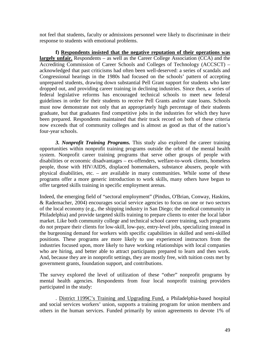not feel that students, faculty or admissions personnel were likely to discriminate in their response to students with emotional problems.

**f) Respondents insisted that the negative reputation of their operations was largely unfair.** Respondents – as well as the Career College Association (CCA) and the Accrediting Commission of Career Schools and Colleges of Technology (ACCSCT) – acknowledged that past criticisms had often been well-deserved: a series of scandals and Congressional hearings in the 1980s had focused on the schools' pattern of accepting unprepared students, drawing down substantial Pell Grant support for students who later dropped out, and providing career training in declining industries. Since then, a series of federal legislative reforms has encouraged technical schools to meet new federal guidelines in order for their students to receive Pell Grants and/or state loans. Schools must now demonstrate not only that an appropriately high percentage of their students graduate, but that graduates find competitive jobs in the industries for which they have been prepared. Respondents maintained that their track record on both of these criteria now exceeds that of community colleges and is almost as good as that of the nation's four-year schools.

*3. Nonprofit Training Programs.* This study also explored the career training opportunities within nonprofit training programs outside the orbit of the mental health system. Nonprofit career training programs that serve other groups of people with disabilities or economic disadvantages – ex-offenders, welfare-to-work clients, homeless people, those with HIV/AIDS, displaced homemakers, substance abusers, people with physical disabilities, etc. – are available in many communities. While some of these programs offer a more generic introduction to work skills, many others have begun to offer targeted skills training in specific employment arenas.

Indeed, the emerging field of "sectoral employment" (Pindus, O'Brian, Conway, Haskins, & Rademacher, 2004) encourages social service agencies to focus on one or two sectors of the local economy (e.g., the shipping industry in San Diego; the medical community in Philadelphia) and provide targeted skills training to prepare clients to enter the local labor market. Like both community college and technical school career training, such programs do not prepare their clients for low-skill, low-pay, entry-level jobs, specializing instead in the burgeoning demand for workers with specific capabilities in skilled and semi-skilled positions. These programs are more likely to use experienced instructors from the industries focused upon, more likely to have working relationships with local companies who are hiring, and better able to attract participants prepared to learn and then work. And, because they are in nonprofit settings, they are mostly free, with tuition costs met by government grants, foundation support, and contributions.

The survey explored the level of utilization of these "other" nonprofit programs by mental health agencies. Respondents from four local nonprofit training providers participated in the study:

. District 1199C's Training and Upgrading Fund, a Philadelphia-based hospital and social services workers' union, supports a training program for union members and others in the human services. Funded primarily by union agreements to devote 1% of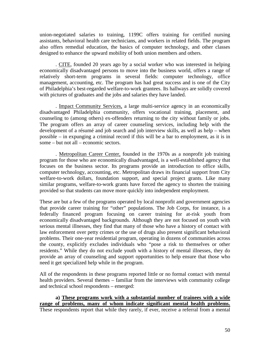union-negotiated salaries to training, 1199C offers training for certified nursing assistants, behavioral health care technicians, and workers in related fields. The program also offers remedial education, the basics of computer technology, and other classes designed to enhance the upward mobility of both union members and others.

. CITE, founded 20 years ago by a social worker who was interested in helping economically disadvantaged persons to move into the business world, offers a range of relatively short-term programs in several fields: computer technology, office management, accounting, etc. The program has had great success and is one of the City of Philadelphia's best-regarded welfare-to-work grantees. Its hallways are solidly covered with pictures of graduates and the jobs and salaries they have landed.

. Impact Community Services, a large multi-service agency in an economically disadvantaged Philadelphia community, offers vocational training, placement, and counseling to (among others) ex-offenders returning to the city without family or jobs. The program offers an array of career counseling services, including help with the development of a résumé and job search and job interview skills, as well as help – when possible – in expunging a criminal record if this will be a bar to employment, as it is in some – but not all – economic sectors.

. Metropolitan Career Center, founded in the 1970s as a nonprofit job training program for those who are economically disadvantaged, is a well-established agency that focuses on the business sector. Its programs provide an introduction to office skills, computer technology, accounting, etc. Metropolitan draws its financial support from City welfare-to-work dollars, foundation support, and special project grants. Like many similar programs, welfare-to-work grants have forced the agency to shorten the training provided so that students can move more quickly into independent employment.

These are but a few of the programs operated by local nonprofit and government agencies that provide career training for "other" populations. The Job Corps, for instance, is a federally financed program focusing on career training for at-risk youth from economically disadvantaged backgrounds. Although they are not focused on youth with serious mental illnesses, they find that many of those who have a history of contact with law enforcement over petty crimes or the use of drugs also present significant behavioral problems. Their one-year residential program, operating in dozens of communities across the county, explicitly excludes individuals who "pose a risk to themselves or other residents." While they do not exclude youth with a history of mental illnesses, they do provide an array of counseling and support opportunities to help ensure that those who need it get specialized help while in the program.

All of the respondents in these programs reported little or no formal contact with mental health providers. Several themes – familiar from the interviews with community college and technical school respondents – emerged:

**a) These programs work with a substantial number of trainees with a wide range of problems, many of whom indicate significant mental health problems.** These respondents report that while they rarely, if ever, receive a referral from a mental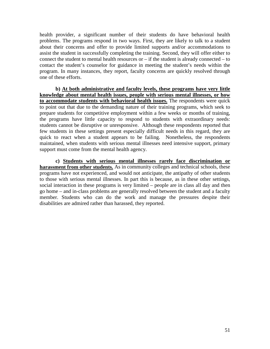health provider, a significant number of their students do have behavioral health problems. The programs respond in two ways. First, they are likely to talk to a student about their concerns and offer to provide limited supports and/or accommodations to assist the student in successfully completing the training. Second, they will offer either to connect the student to mental health resources or – if the student is already connected – to contact the student's counselor for guidance in meeting the student's needs within the program. In many instances, they report, faculty concerns are quickly resolved through one of these efforts.

**b) At both administrative and faculty levels, these programs have very little knowledge about mental health issues, people with serious mental illnesses, or how to accommodate students with behavioral health issues.** The respondents were quick to point out that due to the demanding nature of their training programs, which seek to prepare students for competitive employment within a few weeks or months of training, the programs have little capacity to respond to students with extraordinary needs: students cannot be disruptive or unresponsive. Although these respondents reported that few students in these settings present especially difficult needs in this regard, they are quick to react when a student appears to be failing. Nonetheless, the respondents maintained, when students with serious mental illnesses need intensive support, primary support must come from the mental health agency.

**c) Students with serious mental illnesses rarely face discrimination or harassment from other students.** As in community colleges and technical schools, these programs have not experienced, and would not anticipate, the antipathy of other students to those with serious mental illnesses. In part this is because, as in these other settings, social interaction in these programs is very limited – people are in class all day and then go home – and in-class problems are generally resolved between the student and a faculty member. Students who can do the work and manage the pressures despite their disabilities are admired rather than harassed, they reported.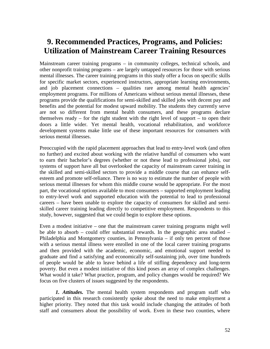# **9. Recommended Practices, Programs, and Policies: Utilization of Mainstream Career Training Resources**

Mainstream career training programs – in community colleges, technical schools, and other nonprofit training programs – are largely untapped resources for those with serious mental illnesses. The career training programs in this study offer a focus on specific skills for specific market sectors, experienced instructors, appropriate learning environments, and job placement connections – qualities rare among mental health agencies' employment programs. For millions of Americans without serious mental illnesses, these programs provide the qualifications for semi-skilled and skilled jobs with decent pay and benefits and the potential for modest upward mobility. The students they currently serve are not so different from mental health consumers, and these programs declare themselves ready – for the right student with the right level of support – to open their doors a little wider. Yet mental health, vocational rehabilitation, and workforce development systems make little use of these important resources for consumers with serious mental illnesses.

Preoccupied with the rapid placement approaches that lead to entry-level work (and often no further) and excited about working with the relative handful of consumers who want to earn their bachelor's degrees (whether or not these lead to professional jobs), our systems of support have all but overlooked the capacity of mainstream career training in the skilled and semi-skilled sectors to provide a middle course that can enhance selfesteem and promote self-reliance. There is no way to estimate the number of people with serious mental illnesses for whom this middle course would be appropriate. For the most part, the vocational options available to most consumers – supported employment leading to entry-level work and supported education with the potential to lead to professional careers – have been unable to explore the capacity of consumers for skilled and semiskilled career training leading directly to competitive employment. Respondents to this study, however, suggested that we could begin to explore these options.

Even a modest initiative – one that the mainstream career training programs might well be able to absorb – could offer substantial rewards. In the geographic area studied – Philadelphia and Montgomery counties, in Pennsylvania – if only ten percent of those with a serious mental illness were enrolled in one of the local career training programs and then provided with the academic, economic, and emotional support needed to graduate and find a satisfying and economically self-sustaining job, over time hundreds of people would be able to leave behind a life of stifling dependency and long-term poverty. But even a modest initiative of this kind poses an array of complex challenges. What would it take? What practice, program, and policy changes would be required? We focus on five clusters of issues suggested by the respondents.

*1. Attitudes.* The mental health system respondents and program staff who participated in this research consistently spoke about the need to make employment a higher priority. They noted that this task would include changing the attitudes of both staff and consumers about the possibility of work. Even in these two counties, where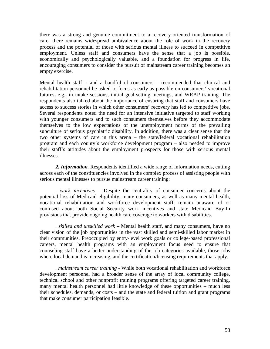there was a strong and genuine commitment to a recovery-oriented transformation of care, there remains widespread ambivalence about the role of work in the recovery process and the potential of those with serious mental illness to succeed in competitive employment. Unless staff and consumers have the sense that a job is possible, economically and psychologically valuable, and a foundation for progress in life, encouraging consumers to consider the pursuit of mainstream career training becomes an empty exercise.

Mental health staff – and a handful of consumers – recommended that clinical and rehabilitation personnel be asked to focus as early as possible on consumers' vocational futures, e.g., in intake sessions, initial goal-setting meetings, and WRAP training. The respondents also talked about the importance of ensuring that staff and consumers have access to success stories in which other consumers' recovery has led to competitive jobs. Several respondents noted the need for an intensive initiative targeted to staff working with younger consumers and to such consumers themselves before they accommodate themselves to the low expectations of the unemployment norms of the prevailing subculture of serious psychiatric disability. In addition, there was a clear sense that the two other systems of care in this arena – the state/federal vocational rehabilitation program and each county's workforce development program – also needed to improve their staff's attitudes about the employment prospects for those with serious mental illnesses.

*2. Information.* Respondents identified a wide range of information needs, cutting across each of the constituencies involved in the complex process of assisting people with serious mental illnesses to pursue mainstream career training:

*. work incentives* – Despite the centrality of consumer concerns about the potential loss of Medicaid eligibility, many consumers, as well as many mental health, vocational rehabilitation and workforce development staff, remain unaware of or confused about both Social Security work incentives and state Medicaid Buy-In provisions that provide ongoing health care coverage to workers with disabilities.

*. skilled and unskilled work* – Mental health staff, and many consumers, have no clear vision of the job opportunities in the vast skilled and semi-skilled labor market in their communities. Preoccupied by entry-level work goals or college-based professional careers, mental health programs with an employment focus need to ensure that counseling staff have a better understanding of the job categories available, those jobs where local demand is increasing, and the certification/licensing requirements that apply.

*. mainstream career training* - While both vocational rehabilitation and workforce development personnel had a broader sense of the array of local community college, technical school and other nonprofit training programs offering targeted career training, many mental health personnel had little knowledge of these opportunities – much less their schedules, demands, or costs – and the state and federal tuition and grant programs that make consumer participation feasible.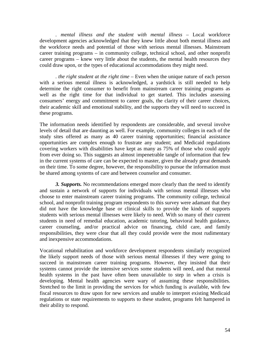*. mental illness and the student with mental illness* – Local workforce development agencies acknowledged that they knew little about both mental illness and the workforce needs and potential of those with serious mental illnesses. Mainstream career training programs – in community college, technical school, and other nonprofit career programs – knew very little about the students, the mental health resources they could draw upon, or the types of educational accommodations they might need.

*. the right student at the right time* – Even when the unique nature of each person with a serious mental illness is acknowledged, a yardstick is still needed to help determine the right consumer to benefit from mainstream career training programs as well as the right time for that individual to get started. This includes assessing consumers' energy and commitment to career goals, the clarity of their career choices, their academic skill and emotional stability, and the supports they will need to succeed in these programs.

The information needs identified by respondents are considerable, and several involve levels of detail that are daunting as well. For example, community colleges in each of the study sites offered as many as 40 career training opportunities; financial assistance opportunities are complex enough to frustrate any student; and Medicaid regulations covering workers with disabilities have kept as many as 75% of those who could apply from ever doing so. This suggests an almost impenetrable tangle of information that few in the current systems of care can be expected to master, given the already great demands on their time. To some degree, however, the responsibility to pursue the information must be shared among systems of care and between counselor and consumer.

*3. Supports.* No recommendations emerged more clearly than the need to identify and sustain a network of supports for individuals with serious mental illnesses who choose to enter mainstream career training programs. The community college, technical school, and nonprofit training program respondents to this survey were adamant that they did not have the knowledge base or clinical skills to provide the kinds of supports students with serious mental illnesses were likely to need. With so many of their current students in need of remedial education, academic tutoring, behavioral health guidance, career counseling, and/or practical advice on financing, child care, and family responsibilities, they were clear that all they could provide were the most rudimentary and inexpensive accommodations.

Vocational rehabilitation and workforce development respondents similarly recognized the likely support needs of those with serious mental illnesses if they were going to succeed in mainstream career training programs. However, they insisted that their systems cannot provide the intensive services some students will need, and that mental health systems in the past have often been unavailable to step in when a crisis is developing. Mental health agencies were wary of assuming these responsibilities. Stretched to the limit in providing the services for which funding is available, with few fiscal resources to draw upon for new services and unable to interpret existing Medicaid regulations or state requirements to supports to these student, programs felt hampered in their ability to respond.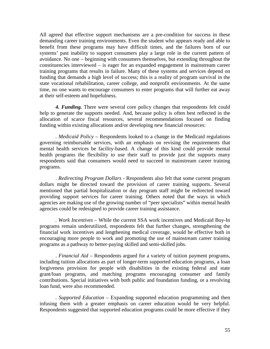All agreed that effective support mechanisms are a pre-condition for success in these demanding career training environments. Even the student who appears ready and able to benefit from these programs may have difficult times, and the failures born of our systems' past inability to support consumers play a large role in the current pattern of avoidance. No one – beginning with consumers themselves, but extending throughout the constituencies interviewed – is eager for an expanded engagement in mainstream career training programs that results in failure. Many of these systems and services depend on funding that demands a high level of success; this is a reality of program survival in the state vocational rehabilitation, career college, and nonprofit environments. At the same time, no one wants to encourage consumers to enter programs that will further eat away at their self-esteem and hopefulness.

*4. Funding.* There were several core policy changes that respondents felt could help to generate the supports needed. And, because policy is often best reflected in the allocation of scarce fiscal resources, several recommendations focused on finding funding within existing allocations and/or developing new financial resources:

*. Medicaid Policy* – Respondents looked to a change in the Medicaid regulations governing reimbursable services, with an emphasis on revising the requirements that mental health services be facility-based. A change of this kind could provide mental health programs the flexibility to use their staff to provide just the supports many respondents said that consumers would need to succeed in mainstream career training programs.

. *Redirecting Program Dollars* - Respondents also felt that some current program dollars might be directed toward the provision of career training supports. Several mentioned that partial hospitalization or day program staff might be redirected toward providing support services for career training. Others noted that the ways in which agencies are making use of the growing number of "peer specialists" within mental health agencies could be redesigned to provide career training assistance.

*. Work Incentives –* While the current SSA work incentives and Medicaid Buy-In programs remain underutilized, respondents felt that further changes, strengthening the financial work incentives and lengthening medical coverage, would be effective both in encouraging more people to work and promoting the use of mainstream career training programs as a pathway to better-paying skilled and semi-skilled jobs.

. *Financial Aid* – Respondents argued for a variety of tuition payment programs, including tuition allocations as part of longer-term supported education programs, a loan forgiveness provision for people with disabilities in the existing federal and state grant/loan programs, and matching programs encouraging consumer and family contributions. Special initiatives with both public and foundation funding, or a revolving loan fund, were also recommended.

*. Supported Education* – Expanding supported education programming and then infusing them with a greater emphasis on career education would be very helpful. Respondents suggested that supported education programs could be more effective if they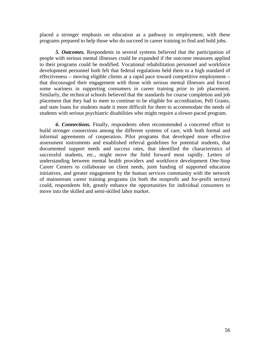placed a stronger emphasis on education as a pathway to employment, with these programs prepared to help those who do succeed in career training to find and hold jobs.

*5. Outcomes.* Respondents in several systems believed that the participation of people with serious mental illnesses could be expanded if the outcome measures applied to their programs could be modified. Vocational rehabilitation personnel and workforce development personnel both felt that federal regulations held them to a high standard of effectiveness – moving eligible clients at a rapid pace toward competitive employment – that discouraged their engagement with those with serious mental illnesses and forced some wariness in supporting consumers in career training prior to job placement. Similarly, the technical schools believed that the standards for course completion and job placement that they had to meet to continue to be eligible for accreditation, Pell Grants, and state loans for students made it more difficult for them to accommodate the needs of students with serious psychiatric disabilities who might require a slower-paced program.

*6. Connections.* Finally, respondents often recommended a concerted effort to build stronger connections among the different systems of care, with both formal and informal agreements of cooperation. Pilot programs that developed more effective assessment instruments and established referral guidelines for potential students, that documented support needs and success rates, that identified the characteristics of successful students, etc., might move the field forward most rapidly. Letters of understanding between mental health providers and workforce development One-Stop Career Centers to collaborate on client needs, joint funding of supported education initiatives, and greater engagement by the human services community with the network of mainstream career training programs (in both the nonprofit and for-profit sectors) could, respondents felt, greatly enhance the opportunities for individual consumers to move into the skilled and semi-skilled labor market.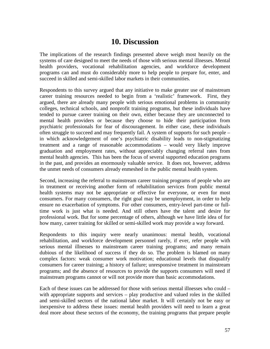### **10. Discussion**

The implications of the research findings presented above weigh most heavily on the systems of care designed to meet the needs of those with serious mental illnesses. Mental health providers, vocational rehabilitation agencies, and workforce development programs can and must do considerably more to help people to prepare for, enter, and succeed in skilled and semi-skilled labor markets in their communities.

Respondents to this survey argued that any initiative to make greater use of mainstream career training resources needed to begin from a 'realistic' framework. First, they argued, there are already many people with serious emotional problems in community colleges, technical schools, and nonprofit training programs, but these individuals have tended to pursue career training on their own, either because they are unconnected to mental health providers or because they choose to hide their participation from psychiatric professionals for fear of discouragement. In either case, these individuals often struggle to succeed and may frequently fail. A system of supports for such people – in which acknowledgement of one's psychiatric disability leads to non-stigmatizing treatment and a range of reasonable accommodations – would very likely improve graduation and employment rates, without appreciably changing referral rates from mental health agencies. This has been the focus of several supported education programs in the past, and provides an enormously valuable service. It does not, however, address the unmet needs of consumers already enmeshed in the public mental health system.

Second, increasing the referral to mainstream career training programs of people who are in treatment or receiving another form of rehabilitation services from public mental health systems may not be appropriate or effective for everyone, or even for most consumers. For many consumers, the right goal may be unemployment, in order to help ensure no exacerbation of symptoms. For other consumers, entry-level part-time or fulltime work is just what is needed. And still others have the talent and desire for professional work. But for some percentage of others, although we have little idea of for how many, career training for skilled or semi-skilled work may provide a way forward.

Respondents to this inquiry were nearly unanimous: mental health, vocational rehabilitation, and workforce development personnel rarely, if ever, refer people with serious mental illnesses to mainstream career training programs; and many remain dubious of the likelihood of success if they do so. The problem is blamed on many complex factors: weak consumer work motivation; educational levels that disqualify consumers for career training; a history of failure; unresponsive treatment in mainstream programs; and the absence of resources to provide the supports consumers will need if mainstream programs cannot or will not provide more than basic accommodations.

Each of these issues can be addressed for those with serious mental illnesses who could – with appropriate supports and services – play productive and valued roles in the skilled and semi-skilled sectors of the national labor market. It will certainly not be easy or inexpensive to address these issues: mental health providers will need to learn a great deal more about these sectors of the economy, the training programs that prepare people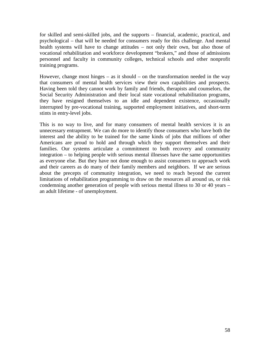for skilled and semi-skilled jobs, and the supports – financial, academic, practical, and psychological – that will be needed for consumers ready for this challenge. And mental health systems will have to change attitudes – not only their own, but also those of vocational rehabilitation and workforce development "brokers," and those of admissions personnel and faculty in community colleges, technical schools and other nonprofit training programs.

However, change most hinges – as it should – on the transformation needed in the way that consumers of mental health services view their own capabilities and prospects. Having been told they cannot work by family and friends, therapists and counselors, the Social Security Administration and their local state vocational rehabilitation programs, they have resigned themselves to an idle and dependent existence, occasionally interrupted by pre-vocational training, supported employment initiatives, and short-term stints in entry-level jobs.

This is no way to live, and for many consumers of mental health services it is an unnecessary entrapment. We can do more to identify those consumers who have both the interest and the ability to be trained for the same kinds of jobs that millions of other Americans are proud to hold and through which they support themselves and their families. Our systems articulate a commitment to both recovery and community integration – to helping people with serious mental illnesses have the same opportunities as everyone else. But they have not done enough to assist consumers to approach work and their careers as do many of their family members and neighbors. If we are serious about the precepts of community integration, we need to reach beyond the current limitations of rehabilitation programming to draw on the resources all around us, or risk condemning another generation of people with serious mental illness to 30 or 40 years – an adult lifetime - of unemployment.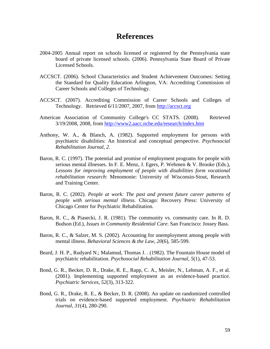### **References**

- 2004-2005 Annual report on schools licensed or registered by the Pennsylvania state board of private licensed schools. (2006). Pennsylvania State Board of Private Licensed Schools.
- ACCSCT. (2006). School Characteristics and Student Achievement Outcomes: Setting the Standard for Quality Education Arlington, VA: Accrediting Commission of Career Schools and Colleges of Technology.
- ACCSCT. (2007). Accrediting Commission of Career Schools and Colleges of Technology. Retrieved 6/11/2007, 2007, from [http://accsct.org](http://accsct.org/)
- American Association of Community College's CC STATS. (2008). Retrieved 3/19/2008, 2008, from<http://www2.aacc.nche.edu/research/index.htm>
- Anthony, W. A., & Blanch, A. (1982). Supported employment for persons with psychiatric disabilities: An historical and conceptual perspective. *Psychosocial Rehabilitation Journal, 2*.
- Baron, R. C. (1997). The potential and promise of employment programs for people with serious mental illnesses. In F. E. Menz, J. Egers, P. Wehmen & V. Brooke (Eds.), *Lessons for improving employment of people with disabilities form vocational rehabilitation research*: Menomonie: University of Wisconsin-Stout, Research and Training Center.
- Baron, R. C. (2002). *People at work: The past and present future career patterns of people with serious mental illness*. Chicago: Recovery Press: University of Chicago Center for Psychiatric Rehabilitation.
- Baron, R. C., & Piasecki, J. R. (1981). The community vs. community care. In R. D. Budson (Ed.), *Issues in Community Residential Care*. San Francisco: Jossey Bass.
- Baron, R. C., & Salzer, M. S. (2002). Accounting for unemployment among people with mental illness. *Behavioral Sciences & the Law, 20*(6), 585-599.
- Beard, J. H. P., Rudyard N.; Malamud, Thomas J. . (1982). The Fountain House model of psychiatric rehabilitation. *Psychosocial Rehabilitation Journal, 5*(1), 47-53.
- Bond, G. R., Becker, D. R., Drake, R. E., Rapp, C. A., Meisler, N., Lehman, A. F., et al. (2001). Implementing supported employment as an evidence-based practice. *Psychiatric Services, 52*(3), 313-322.
- Bond, G. R., Drake, R. E., & Becker, D. R. (2008). An update on randomized controlled trials on evidence-based supported employment. *Psychiatric Rehabilitation Journal, 31*(4), 280-290.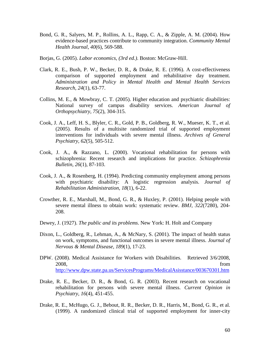- Bond, G. R., Salyers, M. P., Rollins, A. L., Rapp, C. A., & Zipple, A. M. (2004). How evidence-based practices contribute to community integration. *Community Mental Health Journal, 40*(6), 569-588.
- Borjas, G. (2005). *Labor economics, (3rd ed.)*. Boston: McGraw-Hill.
- Clark, R. E., Bush, P. W., Becker, D. R., & Drake, R. E. (1996). A cost-effectiveness comparison of supported employment and rehabilitative day treatment. *Administration and Policy in Mental Health and Mental Health Services Research, 24*(1), 63-77.
- Collins, M. E., & Mowbray, C. T. (2005). Higher education and psychiatric disabilities: National survey of campus disability services. *American Journal of Orthopsychiatry, 75*(2), 304-315.
- Cook, J. A., Leff, H. S., Blyler, C. R., Gold, P. B., Goldberg, R. W., Mueser, K. T., et al. (2005). Results of a multisite randomized trial of supported employment interventions for individuals with severe mental illness. *Archives of General Psychiatry, 62*(5), 505-512.
- Cook, J. A., & Razzano, L. (2000). Vocational rehabilitation for persons with schizophrenia: Recent research and implications for practice. *Schizophrenia Bulletin, 26*(1), 87-103.
- Cook, J. A., & Rosenberg, H. (1994). Predicting community employment among persons with psychiatric disability: A logistic regression analysis. *Journal of Rehabilitation Administration, 18*(1), 6-22.
- Crowther, R. E., Marshall, M., Bond, G. R., & Huxley, P. (2001). Helping people with severe mental illness to obtain work: systematic review. *BMJ, 322*(7280), 204- 208.
- Dewey, J. (1927). *The public and its problems*. New York: H. Holt and Company
- Dixon, L., Goldberg, R., Lehman, A., & McNary, S. (2001). The impact of health status on work, symptoms, and functional outcomes in severe mental illness. *Journal of Nervous & Mental Disease, 189*(1), 17-23.
- DPW. (2008). Medical Assistance for Workers with Disabilities. Retrieved 3/6/2008, 2008, from <http://www.dpw.state.pa.us/ServicesPrograms/MedicalAsisstance/003670301.htm>
- Drake, R. E., Becker, D. R., & Bond, G. R. (2003). Recent research on vocational rehabilitation for persons with severe mental illness. *Current Opinion in Psychiatry, 16*(4), 451-455.
- Drake, R. E., McHugo, G. J., Bebout, R. R., Becker, D. R., Harris, M., Bond, G. R., et al. (1999). A randomized clinical trial of supported employment for inner-city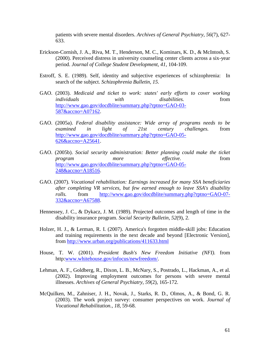patients with severe mental disorders. *Archives of General Psychiatry, 56*(7), 627- 633.

- Erickson-Cornish, J. A., Riva, M. T., Henderson, M. C., Kominars, K. D., & McIntosh, S. (2000). Perceived distress in university counseling center clients across a six-year period. *Journal of College Student Development, 41*, 104-109.
- Estroff, S. E. (1989). Self, identity and subjective experiences of schizophrenia: In search of the subject. *Schizophrenia Bulletin, 15*.
- GAO. (2003). *Medicaid and ticket to work: states' early efforts to cover working individuals with disabilities.* from [http://www.gao.gov/docdblite/summary.php?rptno=GAO-03-](http://www.gao.gov/docdblite/summary.php?rptno=GAO-03-587&accno=A07162) [587&accno=A07162.](http://www.gao.gov/docdblite/summary.php?rptno=GAO-03-587&accno=A07162)
- GAO. (2005a). *Federal disability assistance: Wide array of programs needs to be examined in light of 21st century challenges.* from [http://www.gao.gov/docdblite/summary.php?rptno=GAO-05-](http://www.gao.gov/docdblite/summary.php?rptno=GAO-05-626&accno=A25641) [626&accno=A25641.](http://www.gao.gov/docdblite/summary.php?rptno=GAO-05-626&accno=A25641)
- GAO. (2005b). *Social security administration: Better planning could make the ticket program more effective.* from [http://www.gao.gov/docdblite/summary.php?rptno=GAO-05-](http://www.gao.gov/docdblite/summary.php?rptno=GAO-05-248&accno=A18516) [248&accno=A18516.](http://www.gao.gov/docdblite/summary.php?rptno=GAO-05-248&accno=A18516)
- GAO. (2007). *Vocational rehabilitation: Earnings increased for many SSA beneficiaries after completing VR services, but few earned enough to leave SSA's disability rolls.* from [http://www.gao.gov/docdblite/summary.php?rptno=GAO-07-](http://www.gao.gov/docdblite/summary.php?rptno=GAO-07-332&accno=A67588) [332&accno=A67588.](http://www.gao.gov/docdblite/summary.php?rptno=GAO-07-332&accno=A67588)
- Hennessey, J. C., & Dykacz, J. M. (1989). Projected outcomes and length of time in the disability insurance program. *Social Security Bulletin, 52*(9), 2.
- Holzer, H. J., & Lerman, R. I. (2007). America's forgotten middle-skill jobs: Education and training requirements in the next decade and beyond [Electronic Version], from<http://www.urban.org/publications/411633.html>
- House, T. W. (2001). *President Bush's New Freedom Initiative (NFI).* from http[:www.whitehouse.gov/infocus/newfreedom/.](http://www.whitehouse.gov/infocus/newfreedom/)
- Lehman, A. F., Goldberg, R., Dixon, L. B., McNary, S., Postrado, L., Hackman, A., et al. (2002). Improving employment outcomes for persons with severe mental illnesses. *Archives of General Psychiatry, 59*(2), 165-172.
- McQuilken, M., Zahniser, J. H., Novak, J., Starks, R. D., Olmos, A., & Bond, G. R. (2003). The work project survey: consumer perspectives on work. *Journal of Vocational Rehabilitation., 18*, 59-68.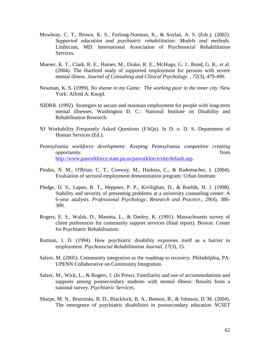- Mowbray, C. T., Brown, K. S., Furlong-Norman, K., & Soylan, A. S. (Eds.). (2002). *Supported education and psychiatric rehabilitation: Models and methods*. Linthicum, MD: International Association of Psychosocial Rehabilitation Services.
- Mueser, K. T., Clark, R. E., Haines, M., Drake, R. E., McHugo, G. J., Bond, G. R., et al. (2004). The Hartford study of supported employment for persons with severe mental illness. *Journal of Consulting and Clinical Psychology. , 72*(3), 479-490.
- Newman, K. S. (1999). *No shame in my Game: The working poor in the inner city*. New York: Alfred A. Knopf.
- NIDRR. (1992). Strategies to secure and maintain employment for people with long-term mental illnesses. Washington D. C.: National Institute on Disability and Rehabilitation Research.
- NJ Workability Frequently Asked Questions (FAQs). In D. o. D. S. Department of Human Services (Ed.).
- *Pennsylvania workforce development: Keeping Pennsylvania competitive creating opportunity*. from [http://www.paworkforce.state.pa.us/paworkforce/site/default.asp.](http://www.paworkforce.state.pa.us/paworkforce/site/default.asp)
- Pindus, N. M., O'Brian, C. T., Conway, M., Haskins, C., & Rademacher, I. (2004). Evaluation of sectoral employment demonstration program: Urban Institute.
- Pledge, D. S., Lapan, R. T., Heppner, P. P., Kivilighan, D., & Roehlk, H. J. (1998). Stability and severity of presenting problems at a university counseling center: A 6-year analysis. *Professional Psychology: Research and Practice., 29*(4), 386- 389.
- Rogers, E. S., Walsh, D., Masotta, L., & Danley, K. (1991). Massachusetts survey of client preferences for community support services (final report). Boston: Center for Psychiatric Rehabilitation.
- Rutman, I. D. (1994). How psychiatric disability expresses itself as a barrier to employment. *Psychosocial Rehabilitation Journal, 17*(3), 15.
- Salzer, M. (2005). Community integration as the roadmap to recovery. Philadelphia, PA: UPENN Collaborative on Community Integration.
- Salzer, M., Wick, L., & Rogers, J. (In Press). Familiarity and use of accommodations and supports among postsecondary students with mental illness: Results from a national survey. *Psychiatric Services*.
- Sharpe, M. N., Bruininks, B. D., Blacklock, B. A., Benson, B., & Johnson, D. M. (2004). The emergence of psychiatric disabilities in postsecondary education *NCSET*